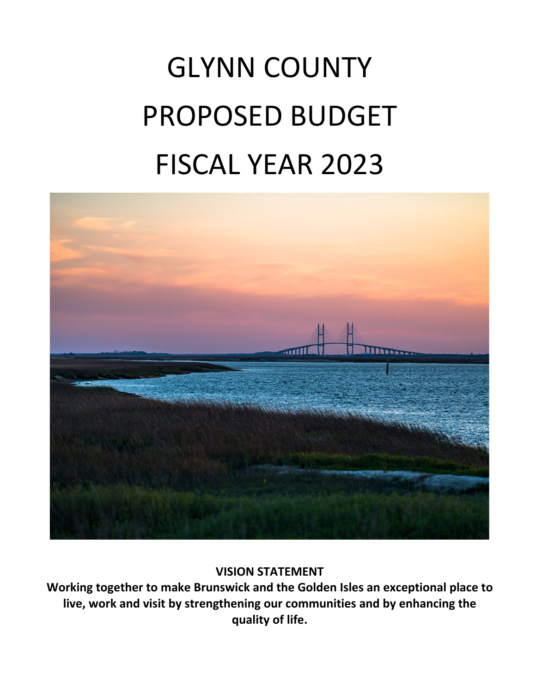# GLYNN COUNTY PROPOSED BUDGET FISCAL YEAR 2023



# **VISION STATEMENT**

**Working together to make Brunswick and the Golden Isles an exceptional place to live, work and visit by strengthening our communities and by enhancing the quality of life.**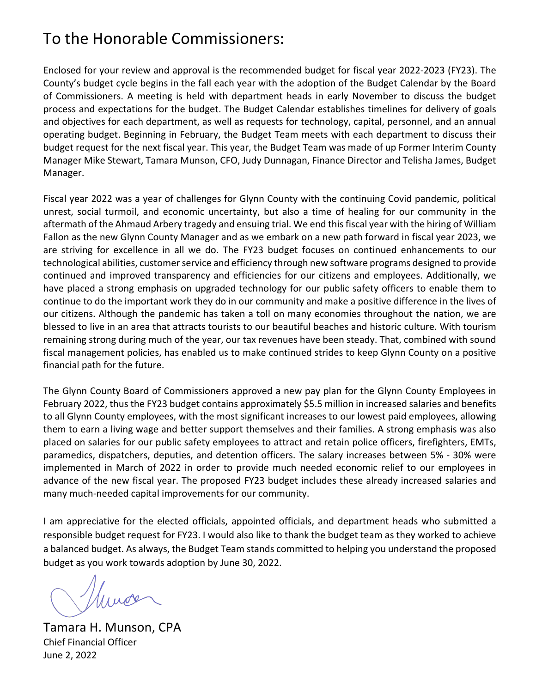# To the Honorable Commissioners:

Enclosed for your review and approval is the recommended budget for fiscal year 2022-2023 (FY23). The County's budget cycle begins in the fall each year with the adoption of the Budget Calendar by the Board of Commissioners. A meeting is held with department heads in early November to discuss the budget process and expectations for the budget. The Budget Calendar establishes timelines for delivery of goals and objectives for each department, as well as requests for technology, capital, personnel, and an annual operating budget. Beginning in February, the Budget Team meets with each department to discuss their budget request for the next fiscal year. This year, the Budget Team was made of up Former Interim County Manager Mike Stewart, Tamara Munson, CFO, Judy Dunnagan, Finance Director and Telisha James, Budget Manager.

Fiscal year 2022 was a year of challenges for Glynn County with the continuing Covid pandemic, political unrest, social turmoil, and economic uncertainty, but also a time of healing for our community in the aftermath of the Ahmaud Arbery tragedy and ensuing trial. We end this fiscal year with the hiring of William Fallon as the new Glynn County Manager and as we embark on a new path forward in fiscal year 2023, we are striving for excellence in all we do. The FY23 budget focuses on continued enhancements to our technological abilities, customer service and efficiency through new software programs designed to provide continued and improved transparency and efficiencies for our citizens and employees. Additionally, we have placed a strong emphasis on upgraded technology for our public safety officers to enable them to continue to do the important work they do in our community and make a positive difference in the lives of our citizens. Although the pandemic has taken a toll on many economies throughout the nation, we are blessed to live in an area that attracts tourists to our beautiful beaches and historic culture. With tourism remaining strong during much of the year, our tax revenues have been steady. That, combined with sound fiscal management policies, has enabled us to make continued strides to keep Glynn County on a positive financial path for the future.

The Glynn County Board of Commissioners approved a new pay plan for the Glynn County Employees in February 2022, thus the FY23 budget contains approximately \$5.5 million in increased salaries and benefits to all Glynn County employees, with the most significant increases to our lowest paid employees, allowing them to earn a living wage and better support themselves and their families. A strong emphasis was also placed on salaries for our public safety employees to attract and retain police officers, firefighters, EMTs, paramedics, dispatchers, deputies, and detention officers. The salary increases between 5% - 30% were implemented in March of 2022 in order to provide much needed economic relief to our employees in advance of the new fiscal year. The proposed FY23 budget includes these already increased salaries and many much-needed capital improvements for our community.

I am appreciative for the elected officials, appointed officials, and department heads who submitted a responsible budget request for FY23. I would also like to thank the budget team as they worked to achieve a balanced budget. As always, the Budget Team stands committed to helping you understand the proposed budget as you work towards adoption by June 30, 2022.

Muros

Tamara H. Munson, CPA Chief Financial Officer June 2, 2022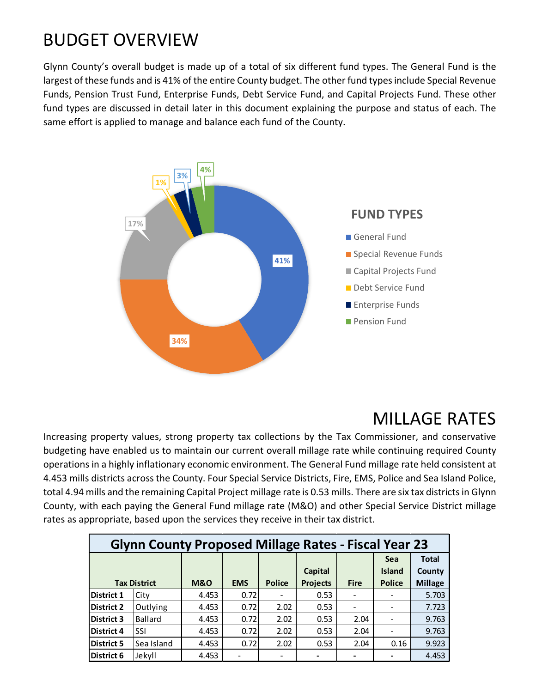# BUDGET OVERVIEW

Glynn County's overall budget is made up of a total of six different fund types. The General Fund is the largest of these funds and is 41% of the entire County budget. The other fund types include Special Revenue Funds, Pension Trust Fund, Enterprise Funds, Debt Service Fund, and Capital Projects Fund. These other fund types are discussed in detail later in this document explaining the purpose and status of each. The same effort is applied to manage and balance each fund of the County.



# MILLAGE RATES

Increasing property values, strong property tax collections by the Tax Commissioner, and conservative budgeting have enabled us to maintain our current overall millage rate while continuing required County operations in a highly inflationary economic environment. The General Fund millage rate held consistent at 4.453 mills districts across the County. Four Special Service Districts, Fire, EMS, Police and Sea Island Police, total 4.94 mills and the remaining Capital Project millage rate is 0.53 mills. There are six tax districts in Glynn County, with each paying the General Fund millage rate (M&O) and other Special Service District millage rates as appropriate, based upon the services they receive in their tax district.

|                   | <b>Glynn County Proposed Millage Rates - Fiscal Year 23</b> |                |            |               |                 |             |               |                |
|-------------------|-------------------------------------------------------------|----------------|------------|---------------|-----------------|-------------|---------------|----------------|
|                   |                                                             |                |            |               |                 |             | <b>Sea</b>    | <b>Total</b>   |
|                   |                                                             |                |            |               | <b>Capital</b>  |             | <b>Island</b> | County         |
|                   | <b>Tax District</b>                                         | <b>M&amp;O</b> | <b>EMS</b> | <b>Police</b> | <b>Projects</b> | <b>Fire</b> | <b>Police</b> | <b>Millage</b> |
| <b>District 1</b> | City                                                        | 4.453          | 0.72       |               | 0.53            |             |               | 5.703          |
| <b>District 2</b> | Outlying                                                    | 4.453          | 0.72       | 2.02          | 0.53            |             |               | 7.723          |
| <b>District 3</b> | Ballard                                                     | 4.453          | 0.72       | 2.02          | 0.53            | 2.04        |               | 9.763          |
| <b>District 4</b> | <b>SSI</b>                                                  | 4.453          | 0.72       | 2.02          | 0.53            | 2.04        |               | 9.763          |
| <b>District 5</b> | Sea Island                                                  | 4.453          | 0.72       | 2.02          | 0.53            | 2.04        | 0.16          | 9.923          |
| District 6        | Jekyll                                                      | 4.453          |            |               |                 |             |               | 4.453          |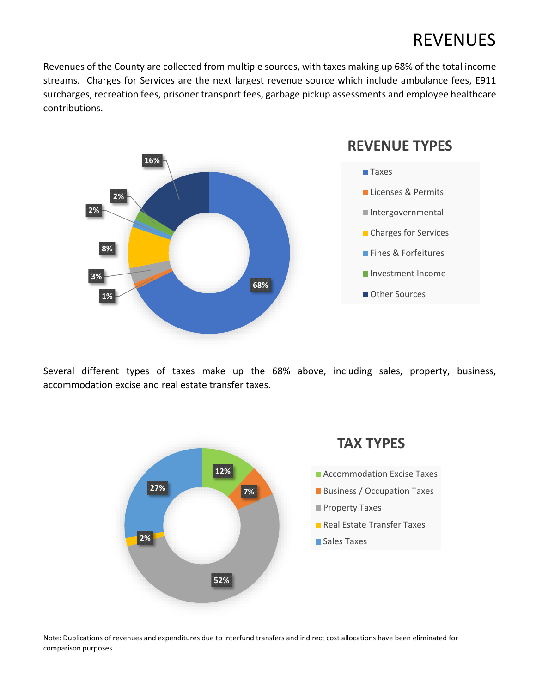# REVENUES

Revenues of the County are collected from multiple sources, with taxes making up 68% of the total income streams. Charges for Services are the next largest revenue source which include ambulance fees, E911 surcharges, recreation fees, prisoner transport fees, garbage pickup assessments and employee healthcare contributions.



Several different types of taxes make up the 68% above, including sales, property, business, accommodation excise and real estate transfer taxes.



Note: Duplications of revenues and expenditures due to interfund transfers and indirect cost allocations have been eliminated for comparison purposes.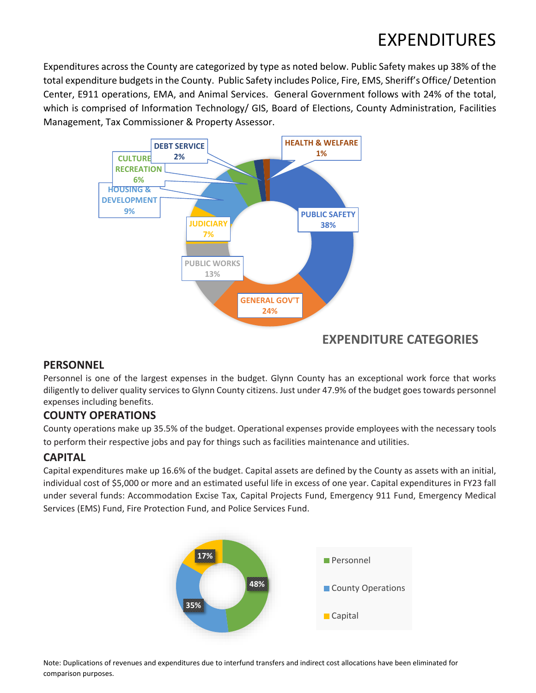# EXPENDITURES

Expenditures across the County are categorized by type as noted below. Public Safety makes up 38% of the total expenditure budgets in the County. Public Safety includes Police, Fire, EMS, Sheriff's Office/ Detention Center, E911 operations, EMA, and Animal Services. General Government follows with 24% of the total, which is comprised of Information Technology/ GIS, Board of Elections, County Administration, Facilities Management, Tax Commissioner & Property Assessor.



# **EXPENDITURE CATEGORIES**

### **PERSONNEL**

Personnel is one of the largest expenses in the budget. Glynn County has an exceptional work force that works diligently to deliver quality services to Glynn County citizens. Just under 47.9% of the budget goes towards personnel expenses including benefits.

### **COUNTY OPERATIONS**

County operations make up 35.5% of the budget. Operational expenses provide employees with the necessary tools to perform their respective jobs and pay for things such as facilities maintenance and utilities.

# **CAPITAL**

Capital expenditures make up 16.6% of the budget. Capital assets are defined by the County as assets with an initial, individual cost of \$5,000 or more and an estimated useful life in excess of one year. Capital expenditures in FY23 fall under several funds: Accommodation Excise Tax, Capital Projects Fund, Emergency 911 Fund, Emergency Medical Services (EMS) Fund, Fire Protection Fund, and Police Services Fund.



Note: Duplications of revenues and expenditures due to interfund transfers and indirect cost allocations have been eliminated for comparison purposes.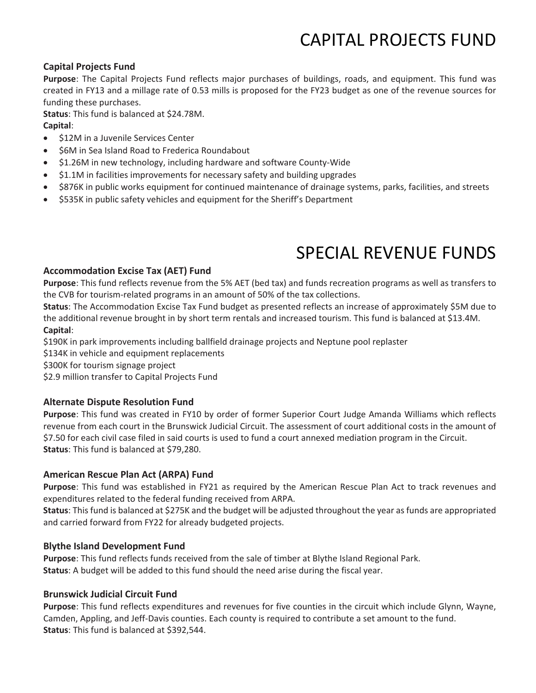# CAPITAL PROJECTS FUND

#### **Capital Projects Fund**

**Purpose**: The Capital Projects Fund reflects major purchases of buildings, roads, and equipment. This fund was created in FY13 and a millage rate of 0.53 mills is proposed for the FY23 budget as one of the revenue sources for funding these purchases.

**Status**: This fund is balanced at \$24.78M. **Capital**:

- \$12M in a Juvenile Services Center
- **S6M in Sea Island Road to Frederica Roundabout**
- \$1.26M in new technology, including hardware and software County-Wide
- \$1.1M in facilities improvements for necessary safety and building upgrades
- \$876K in public works equipment for continued maintenance of drainage systems, parks, facilities, and streets
- \$535K in public safety vehicles and equipment for the Sheriff's Department

# SPECIAL REVENUE FUNDS

#### **Accommodation Excise Tax (AET) Fund**

**Purpose**: This fund reflects revenue from the 5% AET (bed tax) and funds recreation programs as well as transfers to the CVB for tourism-related programs in an amount of 50% of the tax collections.

**Status**: The Accommodation Excise Tax Fund budget as presented reflects an increase of approximately \$5M due to the additional revenue brought in by short term rentals and increased tourism. This fund is balanced at \$13.4M. **Capital**:

\$190K in park improvements including ballfield drainage projects and Neptune pool replaster

\$134K in vehicle and equipment replacements

\$300K for tourism signage project

\$2.9 million transfer to Capital Projects Fund

### **Alternate Dispute Resolution Fund**

**Purpose**: This fund was created in FY10 by order of former Superior Court Judge Amanda Williams which reflects revenue from each court in the Brunswick Judicial Circuit. The assessment of court additional costs in the amount of \$7.50 for each civil case filed in said courts is used to fund a court annexed mediation program in the Circuit. **Status**: This fund is balanced at \$79,280.

### **American Rescue Plan Act (ARPA) Fund**

**Purpose**: This fund was established in FY21 as required by the American Rescue Plan Act to track revenues and expenditures related to the federal funding received from ARPA.

**Status**: This fund is balanced at \$275K and the budget will be adjusted throughout the year as funds are appropriated and carried forward from FY22 for already budgeted projects.

#### **Blythe Island Development Fund**

**Purpose**: This fund reflects funds received from the sale of timber at Blythe Island Regional Park. **Status**: A budget will be added to this fund should the need arise during the fiscal year.

#### **Brunswick Judicial Circuit Fund**

**Purpose**: This fund reflects expenditures and revenues for five counties in the circuit which include Glynn, Wayne, Camden, Appling, and Jeff-Davis counties. Each county is required to contribute a set amount to the fund. **Status**: This fund is balanced at \$392,544.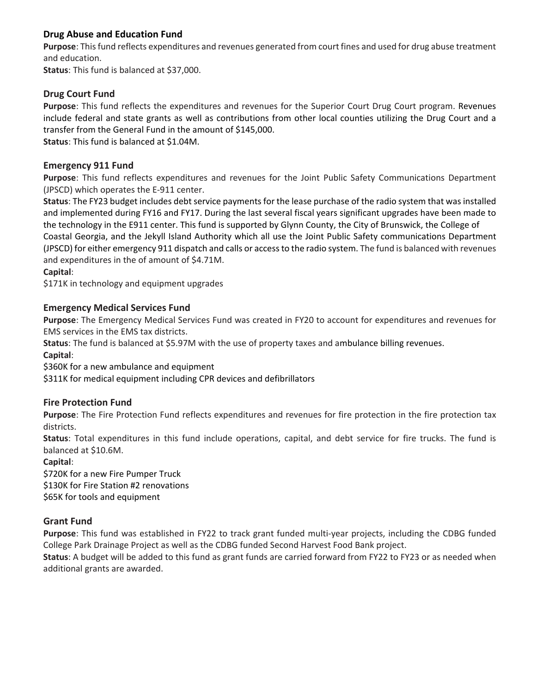### **Drug Abuse and Education Fund**

**Purpose**: This fund reflects expenditures and revenues generated from court fines and used for drug abuse treatment and education.

**Status**: This fund is balanced at \$37,000.

### **Drug Court Fund**

**Purpose**: This fund reflects the expenditures and revenues for the Superior Court Drug Court program. Revenues include federal and state grants as well as contributions from other local counties utilizing the Drug Court and a transfer from the General Fund in the amount of \$145,000.

**Status**: This fund is balanced at \$1.04M.

### **Emergency 911 Fund**

**Purpose**: This fund reflects expenditures and revenues for the Joint Public Safety Communications Department (JPSCD) which operates the E-911 center.

**Status**: The FY23 budget includes debt service payments for the lease purchase of the radio system that was installed and implemented during FY16 and FY17. During the last several fiscal years significant upgrades have been made to the technology in the E911 center. This fund is supported by Glynn County, the City of Brunswick, the College of Coastal Georgia, and the Jekyll Island Authority which all use the Joint Public Safety communications Department (JPSCD) for either emergency 911 dispatch and calls or access to the radio system. The fund is balanced with revenues and expenditures in the of amount of \$4.71M.

**Capital**:

\$171K in technology and equipment upgrades

### **Emergency Medical Services Fund**

**Purpose**: The Emergency Medical Services Fund was created in FY20 to account for expenditures and revenues for EMS services in the EMS tax districts.

**Status**: The fund is balanced at \$5.97M with the use of property taxes and ambulance billing revenues.

**Capital**:

\$360K for a new ambulance and equipment

\$311K for medical equipment including CPR devices and defibrillators

### **Fire Protection Fund**

**Purpose**: The Fire Protection Fund reflects expenditures and revenues for fire protection in the fire protection tax districts.

**Status**: Total expenditures in this fund include operations, capital, and debt service for fire trucks. The fund is balanced at \$10.6M.

**Capital**:

\$720K for a new Fire Pumper Truck \$130K for Fire Station #2 renovations \$65K for tools and equipment

### **Grant Fund**

**Purpose**: This fund was established in FY22 to track grant funded multi-year projects, including the CDBG funded College Park Drainage Project as well as the CDBG funded Second Harvest Food Bank project.

**Status**: A budget will be added to this fund as grant funds are carried forward from FY22 to FY23 or as needed when additional grants are awarded.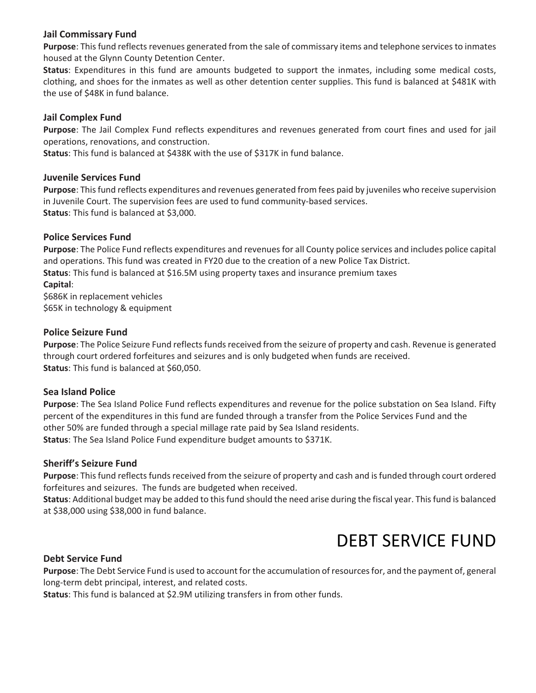### **Jail Commissary Fund**

**Purpose**: This fund reflects revenues generated from the sale of commissary items and telephone services to inmates housed at the Glynn County Detention Center.

**Status**: Expenditures in this fund are amounts budgeted to support the inmates, including some medical costs, clothing, and shoes for the inmates as well as other detention center supplies. This fund is balanced at \$481K with the use of \$48K in fund balance.

#### **Jail Complex Fund**

**Purpose**: The Jail Complex Fund reflects expenditures and revenues generated from court fines and used for jail operations, renovations, and construction.

**Status**: This fund is balanced at \$438K with the use of \$317K in fund balance.

#### **Juvenile Services Fund**

**Purpose**: This fund reflects expenditures and revenues generated from fees paid by juveniles who receive supervision in Juvenile Court. The supervision fees are used to fund community-based services. **Status**: This fund is balanced at \$3,000.

#### **Police Services Fund**

**Purpose**: The Police Fund reflects expenditures and revenues for all County police services and includes police capital and operations. This fund was created in FY20 due to the creation of a new Police Tax District. **Status**: This fund is balanced at \$16.5M using property taxes and insurance premium taxes **Capital**: \$686K in replacement vehicles \$65K in technology & equipment

### **Police Seizure Fund**

**Purpose**: The Police Seizure Fund reflects funds received from the seizure of property and cash. Revenue is generated through court ordered forfeitures and seizures and is only budgeted when funds are received. **Status**: This fund is balanced at \$60,050.

### **Sea Island Police**

**Purpose**: The Sea Island Police Fund reflects expenditures and revenue for the police substation on Sea Island. Fifty percent of the expenditures in this fund are funded through a transfer from the Police Services Fund and the other 50% are funded through a special millage rate paid by Sea Island residents. **Status**: The Sea Island Police Fund expenditure budget amounts to \$371K.

### **Sheriff's Seizure Fund**

**Purpose**: This fund reflects funds received from the seizure of property and cash and is funded through court ordered forfeitures and seizures. The funds are budgeted when received.

**Status**: Additional budget may be added to this fund should the need arise during the fiscal year. This fund is balanced at \$38,000 using \$38,000 in fund balance.

# DEBT SERVICE FUND

### **Debt Service Fund**

**Purpose**: The Debt Service Fund is used to account for the accumulation of resources for, and the payment of, general long-term debt principal, interest, and related costs.

**Status**: This fund is balanced at \$2.9M utilizing transfers in from other funds.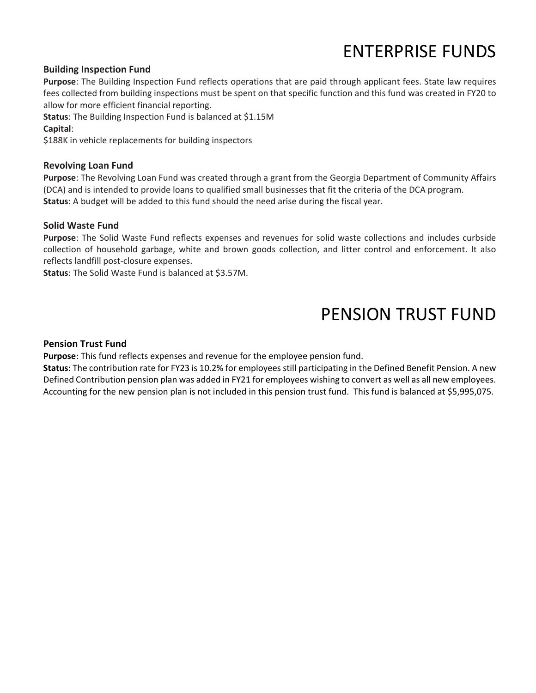# ENTERPRISE FUNDS

#### **Building Inspection Fund**

**Purpose**: The Building Inspection Fund reflects operations that are paid through applicant fees. State law requires fees collected from building inspections must be spent on that specific function and this fund was created in FY20 to allow for more efficient financial reporting.

**Status**: The Building Inspection Fund is balanced at \$1.15M

**Capital**:

\$188K in vehicle replacements for building inspectors

### **Revolving Loan Fund**

**Purpose**: The Revolving Loan Fund was created through a grant from the Georgia Department of Community Affairs (DCA) and is intended to provide loans to qualified small businesses that fit the criteria of the DCA program. **Status**: A budget will be added to this fund should the need arise during the fiscal year.

#### **Solid Waste Fund**

**Purpose**: The Solid Waste Fund reflects expenses and revenues for solid waste collections and includes curbside collection of household garbage, white and brown goods collection, and litter control and enforcement. It also reflects landfill post-closure expenses.

**Status**: The Solid Waste Fund is balanced at \$3.57M.

# PENSION TRUST FUND

#### **Pension Trust Fund**

**Purpose**: This fund reflects expenses and revenue for the employee pension fund.

**Status**: The contribution rate for FY23 is 10.2% for employees still participating in the Defined Benefit Pension. A new Defined Contribution pension plan was added in FY21 for employees wishing to convert as well as all new employees. Accounting for the new pension plan is not included in this pension trust fund. This fund is balanced at \$5,995,075.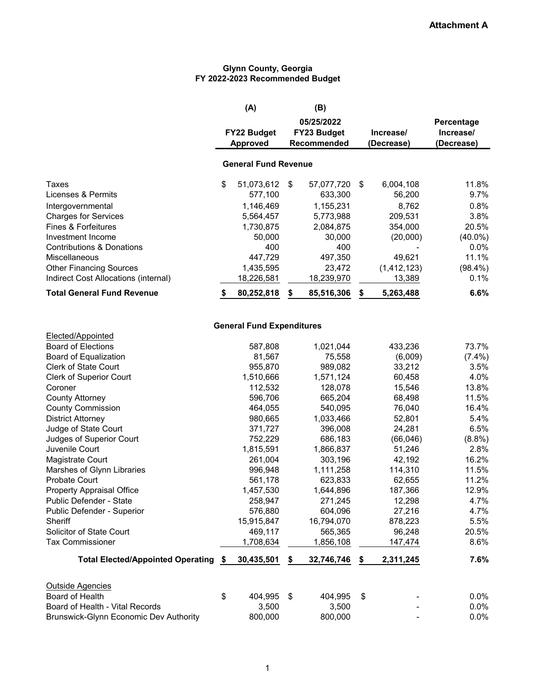#### **Glynn County, Georgia FY 2022-2023 Recommended Budget**

|                                        | (A)                              | (B)              |                 |            |
|----------------------------------------|----------------------------------|------------------|-----------------|------------|
|                                        |                                  | 05/25/2022       |                 | Percentage |
|                                        | FY22 Budget                      | FY23 Budget      | Increase/       | Increase/  |
|                                        | <b>Approved</b>                  | Recommended      | (Decrease)      | (Decrease) |
|                                        | <b>General Fund Revenue</b>      |                  |                 |            |
| <b>Taxes</b>                           | \$<br>51,073,612                 | \$<br>57,077,720 | \$<br>6,004,108 | 11.8%      |
| Licenses & Permits                     | 577,100                          | 633,300          | 56,200          | 9.7%       |
| Intergovernmental                      | 1,146,469                        | 1,155,231        | 8,762           | 0.8%       |
| <b>Charges for Services</b>            | 5,564,457                        | 5,773,988        | 209,531         | 3.8%       |
| Fines & Forfeitures                    | 1,730,875                        | 2,084,875        | 354,000         | 20.5%      |
| Investment Income                      | 50,000                           | 30,000           | (20,000)        | $(40.0\%)$ |
| <b>Contributions &amp; Donations</b>   | 400                              | 400              |                 | 0.0%       |
| Miscellaneous                          | 447,729                          | 497,350          | 49,621          | 11.1%      |
| <b>Other Financing Sources</b>         | 1,435,595                        | 23,472           | (1, 412, 123)   | $(98.4\%)$ |
| Indirect Cost Allocations (internal)   | 18,226,581                       | 18,239,970       | 13,389          | 0.1%       |
| <b>Total General Fund Revenue</b>      | \$<br>80,252,818                 | \$<br>85,516,306 | \$<br>5,263,488 | 6.6%       |
|                                        |                                  |                  |                 |            |
| Elected/Appointed                      | <b>General Fund Expenditures</b> |                  |                 |            |
| <b>Board of Elections</b>              | 587,808                          | 1,021,044        | 433,236         | 73.7%      |
| Board of Equalization                  | 81,567                           | 75,558           | (6,009)         | $(7.4\%)$  |
| <b>Clerk of State Court</b>            | 955,870                          | 989,082          | 33,212          | 3.5%       |
| <b>Clerk of Superior Court</b>         | 1,510,666                        | 1,571,124        | 60,458          | 4.0%       |
| Coroner                                | 112,532                          | 128,078          | 15,546          | 13.8%      |
| <b>County Attorney</b>                 | 596,706                          | 665,204          | 68,498          | 11.5%      |
| <b>County Commission</b>               | 464,055                          | 540,095          | 76,040          | 16.4%      |
| <b>District Attorney</b>               | 980,665                          | 1,033,466        | 52,801          | 5.4%       |
| Judge of State Court                   | 371,727                          | 396,008          | 24,281          | 6.5%       |
| Judges of Superior Court               | 752,229                          | 686,183          | (66, 046)       | $(8.8\%)$  |
| Juvenile Court                         | 1,815,591                        | 1,866,837        | 51,246          | 2.8%       |
| Magistrate Court                       | 261,004                          | 303,196          | 42,192          | 16.2%      |
| Marshes of Glynn Libraries             | 996,948                          | 1,111,258        | 114,310         | 11.5%      |
| <b>Probate Court</b>                   | 561,178                          | 623,833          | 62,655          | 11.2%      |
| <b>Property Appraisal Office</b>       | 1,457,530                        | 1,644,896        | 187,366         | 12.9%      |
| Public Defender - State                | 258,947                          | 271,245          | 12,298          | 4.7%       |
| Public Defender - Superior             | 576,880                          | 604,096          | 27,216          | 4.7%       |
| Sheriff                                | 15,915,847                       | 16,794,070       | 878,223         | 5.5%       |
| Solicitor of State Court               | 469,117                          | 565,365          | 96,248          | 20.5%      |
| <b>Tax Commissioner</b>                | 1,708,634                        | 1,856,108        | 147,474         | 8.6%       |
| Total Elected/Appointed Operating \$   | 30,435,501                       | \$<br>32,746,746 | \$<br>2,311,245 | 7.6%       |
|                                        |                                  |                  |                 |            |
| <b>Outside Agencies</b>                |                                  |                  |                 |            |
| Board of Health                        | \$<br>404,995                    | \$<br>404,995    | \$              | $0.0\%$    |
| Board of Health - Vital Records        | 3,500                            | 3,500            |                 | 0.0%       |
| Brunswick-Glynn Economic Dev Authority | 800,000                          | 800,000          |                 | 0.0%       |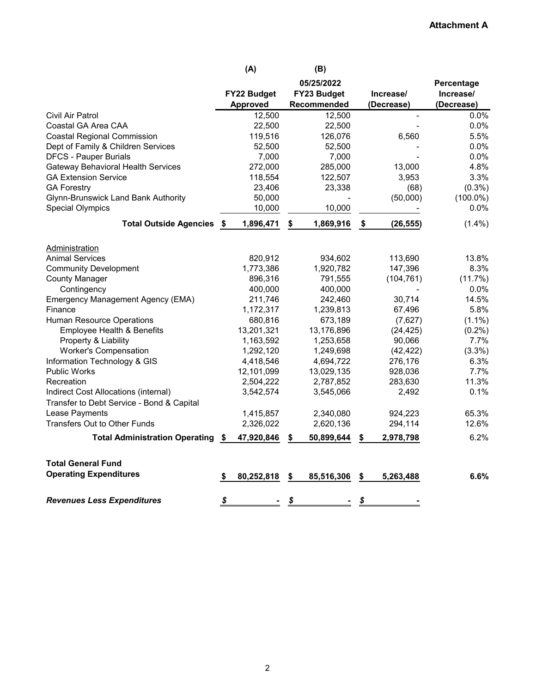### **Attachment A**

|                                            |      | (A)             |    | (B)         |    |                |             |
|--------------------------------------------|------|-----------------|----|-------------|----|----------------|-------------|
|                                            |      |                 |    | 05/25/2022  |    |                | Percentage  |
|                                            |      | FY22 Budget     |    | FY23 Budget |    | Increase/      | Increase/   |
|                                            |      | <b>Approved</b> |    | Recommended |    | (Decrease)     | (Decrease)  |
| Civil Air Patrol                           |      | 12,500          |    | 12,500      |    | $\blacksquare$ | 0.0%        |
| Coastal GA Area CAA                        |      | 22,500          |    | 22,500      |    |                | 0.0%        |
| <b>Coastal Regional Commission</b>         |      | 119,516         |    | 126,076     |    | 6,560          | 5.5%        |
| Dept of Family & Children Services         |      | 52,500          |    | 52,500      |    |                | 0.0%        |
| <b>DFCS - Pauper Burials</b>               |      | 7,000           |    | 7,000       |    |                | 0.0%        |
| <b>Gateway Behavioral Health Services</b>  |      | 272,000         |    | 285,000     |    | 13,000         | 4.8%        |
| <b>GA Extension Service</b>                |      | 118,554         |    | 122,507     |    | 3,953          | 3.3%        |
| <b>GA Forestry</b>                         |      | 23,406          |    | 23,338      |    | (68)           | $(0.3\%)$   |
| <b>Glynn-Brunswick Land Bank Authority</b> |      | 50,000          |    |             |    | (50,000)       | $(100.0\%)$ |
| <b>Special Olympics</b>                    |      | 10,000          |    | 10,000      |    |                | 0.0%        |
| <b>Total Outside Agencies</b>              | - \$ | 1,896,471       | \$ | 1,869,916   | \$ | (26, 555)      | $(1.4\%)$   |
|                                            |      |                 |    |             |    |                |             |
| Administration                             |      |                 |    |             |    |                |             |
| <b>Animal Services</b>                     |      | 820,912         |    | 934,602     |    | 113,690        | 13.8%       |
| <b>Community Development</b>               |      | 1,773,386       |    | 1,920,782   |    | 147,396        | 8.3%        |
| <b>County Manager</b>                      |      | 896,316         |    | 791,555     |    | (104, 761)     | (11.7%)     |
| Contingency                                |      | 400,000         |    | 400,000     |    |                | 0.0%        |
| Emergency Management Agency (EMA)          |      | 211,746         |    | 242,460     |    | 30,714         | 14.5%       |
| Finance                                    |      | 1,172,317       |    | 1,239,813   |    | 67,496         | 5.8%        |
| Human Resource Operations                  |      | 680,816         |    | 673,189     |    | (7,627)        | $(1.1\%)$   |
| Employee Health & Benefits                 |      | 13,201,321      |    | 13,176,896  |    | (24, 425)      | $(0.2\%)$   |
| Property & Liability                       |      | 1,163,592       |    | 1,253,658   |    | 90,066         | 7.7%        |
| <b>Worker's Compensation</b>               |      | 1,292,120       |    | 1,249,698   |    | (42, 422)      | $(3.3\%)$   |
| Information Technology & GIS               |      | 4,418,546       |    | 4,694,722   |    | 276,176        | 6.3%        |
| <b>Public Works</b>                        |      | 12,101,099      |    | 13,029,135  |    | 928,036        | 7.7%        |
| Recreation                                 |      | 2,504,222       |    | 2,787,852   |    | 283,630        | 11.3%       |
| Indirect Cost Allocations (internal)       |      | 3,542,574       |    | 3,545,066   |    | 2,492          | 0.1%        |
| Transfer to Debt Service - Bond & Capital  |      |                 |    |             |    |                |             |
| Lease Payments                             |      | 1,415,857       |    | 2,340,080   |    | 924,223        | 65.3%       |
| Transfers Out to Other Funds               |      | 2,326,022       |    | 2,620,136   |    | 294,114        | 12.6%       |
|                                            |      |                 |    |             |    |                |             |
| <b>Total Administration Operating</b>      | - \$ | 47,920,846      | S  | 50,899,644  | S  | 2,978,798      | 6.2%        |
| <b>Total General Fund</b>                  |      |                 |    |             |    |                |             |
| <b>Operating Expenditures</b>              | S    | 80,252,818      | \$ | 85,516,306  | \$ | 5,263,488      | 6.6%        |
|                                            |      |                 |    |             |    |                |             |
| <b>Revenues Less Expenditures</b>          | \$   |                 | \$ |             | \$ |                |             |
|                                            |      |                 |    |             |    |                |             |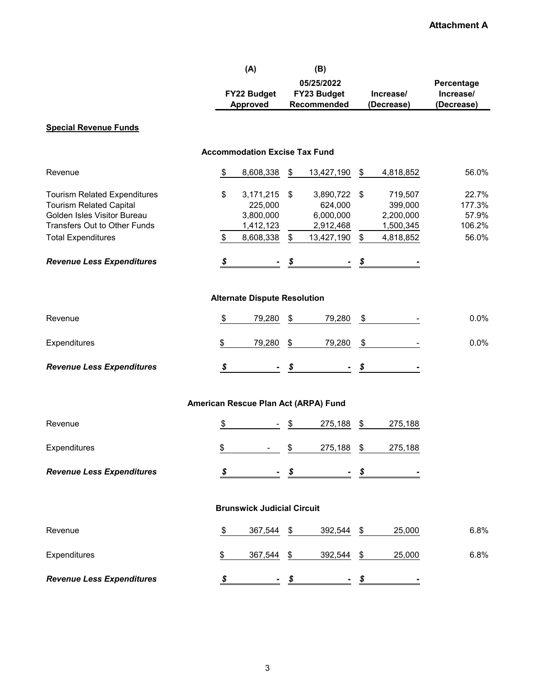|                                                                                                      |                     | (A)                                           | (B)                                     |                           |                                 |                          |
|------------------------------------------------------------------------------------------------------|---------------------|-----------------------------------------------|-----------------------------------------|---------------------------|---------------------------------|--------------------------|
|                                                                                                      |                     |                                               | 05/25/2022                              |                           |                                 | Percentage               |
|                                                                                                      |                     | FY22 Budget                                   | FY23 Budget                             |                           | Increase/                       | Increase/                |
|                                                                                                      |                     | <b>Approved</b>                               | Recommended                             |                           | (Decrease)                      | (Decrease)               |
| <b>Special Revenue Funds</b>                                                                         |                     |                                               |                                         |                           |                                 |                          |
|                                                                                                      |                     | <b>Accommodation Excise Tax Fund</b>          |                                         |                           |                                 |                          |
| Revenue                                                                                              | \$                  | 8,608,338                                     | \$<br>13,427,190                        | \$                        | 4,818,852                       | 56.0%                    |
| <b>Tourism Related Expenditures</b><br><b>Tourism Related Capital</b><br>Golden Isles Visitor Bureau | \$                  | 3,171,215<br>225,000<br>3,800,000             | \$<br>3,890,722<br>624,000<br>6,000,000 | $\boldsymbol{\mathsf{S}}$ | 719,507<br>399,000<br>2,200,000 | 22.7%<br>177.3%<br>57.9% |
| <b>Transfers Out to Other Funds</b>                                                                  |                     | 1,412,123                                     | 2,912,468                               |                           | 1,500,345                       | 106.2%                   |
| <b>Total Expenditures</b>                                                                            | \$                  | 8,608,338                                     | \$<br>13,427,190                        | $\$\$                     | 4,818,852                       | 56.0%                    |
| <b>Revenue Less Expenditures</b>                                                                     | $\pmb{\mathcal{S}}$ |                                               | \$                                      | \$                        |                                 |                          |
| Revenue                                                                                              | \$                  | <b>Alternate Dispute Resolution</b><br>79,280 | \$<br>79,280                            | $\boldsymbol{\hat{\phi}}$ |                                 | 0.0%                     |
|                                                                                                      |                     |                                               |                                         |                           |                                 |                          |
| Expenditures                                                                                         | \$                  | 79,280                                        | \$<br>79,280                            | \$                        |                                 | 0.0%                     |
| <b>Revenue Less Expenditures</b>                                                                     | \$                  |                                               | \$                                      | \$                        |                                 |                          |
|                                                                                                      |                     | American Rescue Plan Act (ARPA) Fund          |                                         |                           |                                 |                          |
| Revenue                                                                                              | \$                  |                                               | \$<br>275,188                           | \$                        | 275,188                         |                          |
| Expenditures                                                                                         | \$                  |                                               | \$<br>275,188                           | \$                        | 275,188                         |                          |
| <b>Revenue Less Expenditures</b>                                                                     | \$                  |                                               | \$                                      | \$                        |                                 |                          |
|                                                                                                      |                     | <b>Brunswick Judicial Circuit</b>             |                                         |                           |                                 |                          |
| Revenue                                                                                              | \$                  | 367,544                                       | \$<br>392,544                           | \$                        | 25,000                          | 6.8%                     |
| Expenditures                                                                                         | \$                  | 367,544                                       | \$<br>392,544                           | \$                        | 25,000                          | 6.8%                     |
| <b>Revenue Less Expenditures</b>                                                                     | S                   |                                               | \$                                      | \$                        |                                 |                          |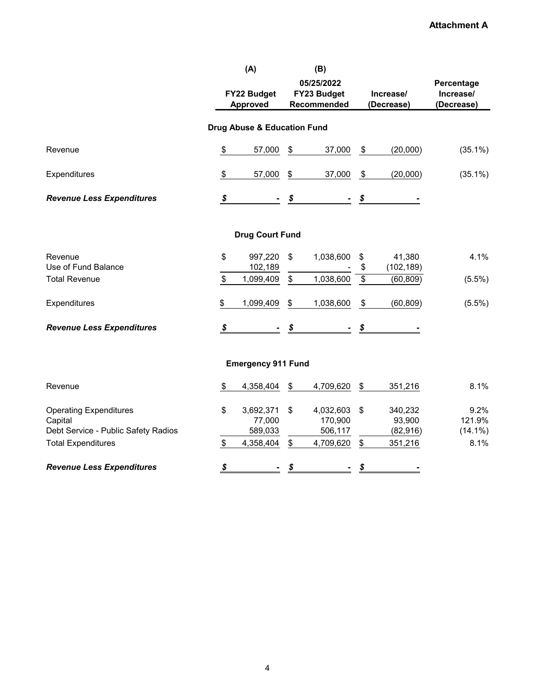|                                                                                 |                            | (A)<br>FY22 Budget<br><b>Approved</b> | (B)<br>05/25/2022<br>FY23 Budget<br>Recommended |                            | Increase/<br>(Decrease)        | Percentage<br>Increase/<br>(Decrease) |
|---------------------------------------------------------------------------------|----------------------------|---------------------------------------|-------------------------------------------------|----------------------------|--------------------------------|---------------------------------------|
|                                                                                 |                            |                                       |                                                 |                            |                                |                                       |
|                                                                                 |                            | Drug Abuse & Education Fund           |                                                 |                            |                                |                                       |
| Revenue                                                                         | \$                         | 57,000                                | \$<br>37,000                                    | \$                         | (20,000)                       | $(35.1\%)$                            |
| Expenditures                                                                    | \$                         | 57,000                                | \$<br>37,000                                    | $\boldsymbol{\mathsf{\$}}$ | (20,000)                       | $(35.1\%)$                            |
| <b>Revenue Less Expenditures</b>                                                | \$                         |                                       | \$                                              | \$                         |                                |                                       |
|                                                                                 |                            | <b>Drug Court Fund</b>                |                                                 |                            |                                |                                       |
| Revenue<br>Use of Fund Balance                                                  | \$                         | 997,220<br>102,189                    | \$<br>1,038,600                                 | \$<br>\$                   | 41,380<br>(102, 189)           | 4.1%                                  |
| <b>Total Revenue</b>                                                            | \$                         | 1,099,409                             | \$<br>1,038,600                                 | $\overline{\$}$            | (60, 809)                      | $(5.5\%)$                             |
| Expenditures                                                                    | \$                         | 1,099,409                             | \$<br>1,038,600                                 | \$                         | (60, 809)                      | $(5.5\%)$                             |
| <b>Revenue Less Expenditures</b>                                                | $\boldsymbol{\mathcal{S}}$ |                                       | \$                                              | \$                         |                                |                                       |
|                                                                                 |                            | <b>Emergency 911 Fund</b>             |                                                 |                            |                                |                                       |
| Revenue                                                                         | \$                         | 4,358,404                             | \$<br>4,709,620                                 | \$                         | 351,216                        | 8.1%                                  |
| <b>Operating Expenditures</b><br>Capital<br>Debt Service - Public Safety Radios | \$                         | 3,692,371<br>77,000<br>589,033        | \$<br>4,032,603<br>170,900<br>506,117           | \$                         | 340,232<br>93,900<br>(82, 916) | 9.2%<br>121.9%<br>$(14.1\%)$          |
| <b>Total Expenditures</b>                                                       | \$                         | 4,358,404                             | \$<br>4,709,620                                 | \$                         | 351,216                        | 8.1%                                  |
| <b>Revenue Less Expenditures</b>                                                | \$                         |                                       | \$                                              | \$                         |                                |                                       |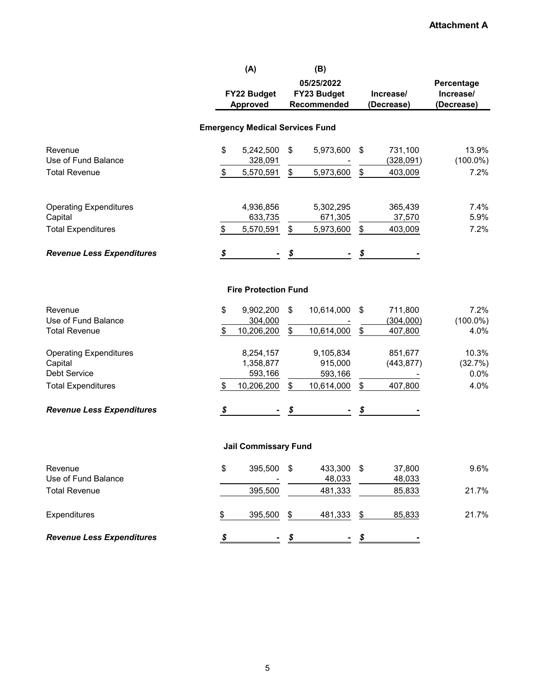|                                  | (A)                                    |    | (B)               |                            |                     |
|----------------------------------|----------------------------------------|----|-------------------|----------------------------|---------------------|
|                                  |                                        |    | 05/25/2022        |                            | Percentage          |
|                                  | FY22 Budget                            |    | FY23 Budget       | Increase/                  | Increase/           |
|                                  | <b>Approved</b>                        |    | Recommended       | (Decrease)                 | (Decrease)          |
|                                  |                                        |    |                   |                            |                     |
|                                  | <b>Emergency Medical Services Fund</b> |    |                   |                            |                     |
| Revenue                          | \$<br>5,242,500                        | \$ | 5,973,600         | \$<br>731,100              | 13.9%               |
| Use of Fund Balance              | 328,091                                |    |                   | (328,091)                  | $(100.0\%)$         |
| <b>Total Revenue</b>             | \$<br>5,570,591                        | \$ | 5,973,600         | \$<br>403,009              | 7.2%                |
| <b>Operating Expenditures</b>    | 4,936,856                              |    | 5,302,295         | 365,439                    | 7.4%                |
| Capital                          | 633,735                                |    | 671,305           | 37,570                     | 5.9%                |
| <b>Total Expenditures</b>        | \$<br>5,570,591                        | \$ | 5,973,600         | \$<br>403,009              | 7.2%                |
| <b>Revenue Less Expenditures</b> | \$                                     |    |                   | \$                         |                     |
|                                  | <b>Fire Protection Fund</b>            |    |                   |                            |                     |
| Revenue<br>Use of Fund Balance   | \$<br>9,902,200                        | \$ | 10,614,000        | \$<br>711,800              | 7.2%                |
| <b>Total Revenue</b>             | \$<br>304,000<br>10,206,200            | \$ | 10,614,000        | \$<br>(304,000)<br>407,800 | $(100.0\%)$<br>4.0% |
|                                  |                                        |    |                   |                            |                     |
| <b>Operating Expenditures</b>    | 8,254,157                              |    | 9,105,834         | 851,677                    | 10.3%               |
| Capital                          | 1,358,877                              |    | 915,000           | (443, 877)                 | (32.7%)             |
| Debt Service                     | 593,166                                |    | 593,166           |                            | 0.0%                |
| <b>Total Expenditures</b>        | \$<br>10,206,200                       | \$ | 10,614,000        | \$<br>407,800              | 4.0%                |
| <b>Revenue Less Expenditures</b> | \$                                     | S  |                   | \$                         |                     |
|                                  | <b>Jail Commissary Fund</b>            |    |                   |                            |                     |
| Revenue<br>Use of Fund Balance   | \$<br>395,500                          | \$ | 433,300<br>48,033 | \$<br>37,800<br>48,033     | 9.6%                |
| <b>Total Revenue</b>             | 395,500                                |    | 481,333           | 85,833                     | 21.7%               |
| Expenditures                     | \$<br>395,500                          | \$ | 481,333           | \$<br>85,833               | 21.7%               |
| <b>Revenue Less Expenditures</b> | \$                                     | \$ |                   | \$                         |                     |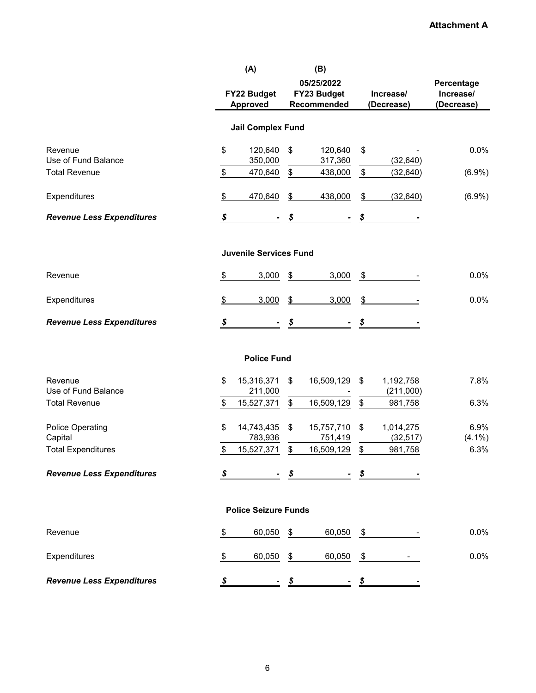|                                    |                     | (A)<br>FY22 Budget<br><b>Approved</b> |               | (B)<br>05/25/2022<br>FY23 Budget<br>Recommended |               | Increase/<br>(Decrease) | Percentage<br>Increase/<br>(Decrease) |
|------------------------------------|---------------------|---------------------------------------|---------------|-------------------------------------------------|---------------|-------------------------|---------------------------------------|
|                                    |                     | <b>Jail Complex Fund</b>              |               |                                                 |               |                         |                                       |
| Revenue<br>Use of Fund Balance     | \$                  | 120,640<br>350,000                    | \$            | 120,640<br>317,360                              | \$            | (32, 640)               | 0.0%                                  |
| <b>Total Revenue</b>               | \$                  | 470,640                               | \$            | 438,000                                         | \$            | (32, 640)               | $(6.9\%)$                             |
| Expenditures                       | \$                  | 470,640                               | \$            | 438,000                                         | \$            | (32, 640)               | (6.9%)                                |
| <b>Revenue Less Expenditures</b>   | \$                  |                                       | \$            |                                                 | \$            |                         |                                       |
|                                    |                     | <b>Juvenile Services Fund</b>         |               |                                                 |               |                         |                                       |
| Revenue                            | $\frac{1}{2}$       | 3,000                                 | \$            | 3,000                                           | \$            |                         | 0.0%                                  |
| Expenditures                       | \$                  | 3,000                                 | $\frac{1}{2}$ | 3,000                                           | $\frac{1}{2}$ |                         | 0.0%                                  |
| <b>Revenue Less Expenditures</b>   | $\pmb{\mathcal{S}}$ |                                       | \$            |                                                 | \$            |                         |                                       |
|                                    |                     | <b>Police Fund</b>                    |               |                                                 |               |                         |                                       |
| Revenue<br>Use of Fund Balance     | \$                  | 15,316,371<br>211,000                 | \$            | 16,509,129                                      | \$            | 1,192,758<br>(211,000)  | 7.8%                                  |
| <b>Total Revenue</b>               | \$                  | 15,527,371                            | \$            | 16,509,129                                      | \$            | 981,758                 | 6.3%                                  |
| <b>Police Operating</b><br>Capital | \$                  | 14,743,435<br>783,936                 | \$            | 15,757,710<br>751,419                           | \$            | 1,014,275<br>(32, 517)  | 6.9%<br>$(4.1\%)$                     |
| <b>Total Expenditures</b>          | \$                  | 15,527,371                            | \$            | 16,509,129                                      | \$            | 981,758                 | 6.3%                                  |
| <b>Revenue Less Expenditures</b>   | \$                  |                                       | \$            |                                                 | \$            |                         |                                       |
|                                    |                     | <b>Police Seizure Funds</b>           |               |                                                 |               |                         |                                       |
| Revenue                            | \$                  | 60,050                                | \$            | 60,050                                          | \$            |                         | 0.0%                                  |
| Expenditures                       | \$                  | 60,050                                | \$            | 60,050                                          | \$            |                         | 0.0%                                  |
| <b>Revenue Less Expenditures</b>   | \$                  |                                       | \$            |                                                 | \$            |                         |                                       |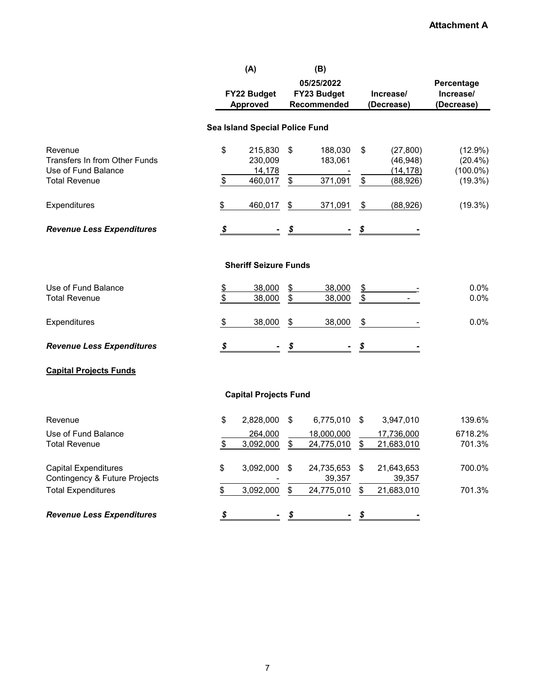|                                  | (A)                                   |               | (B)         |                         |            |             |
|----------------------------------|---------------------------------------|---------------|-------------|-------------------------|------------|-------------|
|                                  |                                       |               | 05/25/2022  |                         |            | Percentage  |
|                                  | FY22 Budget                           |               | FY23 Budget |                         | Increase/  | Increase/   |
|                                  | Approved                              |               | Recommended |                         | (Decrease) | (Decrease)  |
|                                  |                                       |               |             |                         |            |             |
|                                  | <b>Sea Island Special Police Fund</b> |               |             |                         |            |             |
| Revenue                          | \$<br>215,830                         | \$            | 188,030     | \$                      | (27, 800)  | $(12.9\%)$  |
| Transfers In from Other Funds    | 230,009                               |               | 183,061     |                         | (46, 948)  | $(20.4\%)$  |
| Use of Fund Balance              | 14,178                                |               |             |                         | (14, 178)  | $(100.0\%)$ |
| <b>Total Revenue</b>             | \$<br>460,017                         | \$            | 371,091     | $\sqrt[6]{\frac{1}{2}}$ | (88, 926)  | (19.3%)     |
| Expenditures                     | \$<br>460,017                         | \$            | 371,091     | \$                      | (88, 926)  | (19.3%)     |
| <b>Revenue Less Expenditures</b> | \$                                    | \$            |             | \$                      |            |             |
|                                  |                                       |               |             |                         |            |             |
|                                  | <b>Sheriff Seizure Funds</b>          |               |             |                         |            |             |
| Use of Fund Balance              | \$<br>38,000                          | $\frac{2}{2}$ | 38,000      | $\frac{1}{2}$           |            | 0.0%        |
| <b>Total Revenue</b>             | \$<br>38,000                          | \$            | 38,000      | $\sqrt[6]{\frac{1}{2}}$ |            | 0.0%        |
| Expenditures                     | \$<br>38,000                          | \$            | 38,000      | \$                      |            | 0.0%        |
| <b>Revenue Less Expenditures</b> | \$                                    | \$            |             | \$                      |            |             |
| <b>Capital Projects Funds</b>    |                                       |               |             |                         |            |             |
|                                  | <b>Capital Projects Fund</b>          |               |             |                         |            |             |
|                                  |                                       |               |             |                         |            |             |
| Revenue                          | \$<br>2,828,000                       | \$            | 6,775,010   | \$                      | 3,947,010  | 139.6%      |
| Use of Fund Balance              | 264,000                               |               | 18,000,000  |                         | 17,736,000 | 6718.2%     |
| <b>Total Revenue</b>             | \$<br>3,092,000                       | \$            | 24,775,010  | \$                      | 21,683,010 | 701.3%      |
| <b>Capital Expenditures</b>      | \$<br>3,092,000                       | \$            | 24,735,653  | \$                      | 21,643,653 | 700.0%      |
| Contingency & Future Projects    |                                       |               | 39,357      |                         | 39,357     |             |
| <b>Total Expenditures</b>        | \$<br>3,092,000                       | \$            | 24,775,010  | \$                      | 21,683,010 | 701.3%      |
| <b>Revenue Less Expenditures</b> | \$                                    | \$            |             | \$                      |            |             |
|                                  |                                       |               |             |                         |            |             |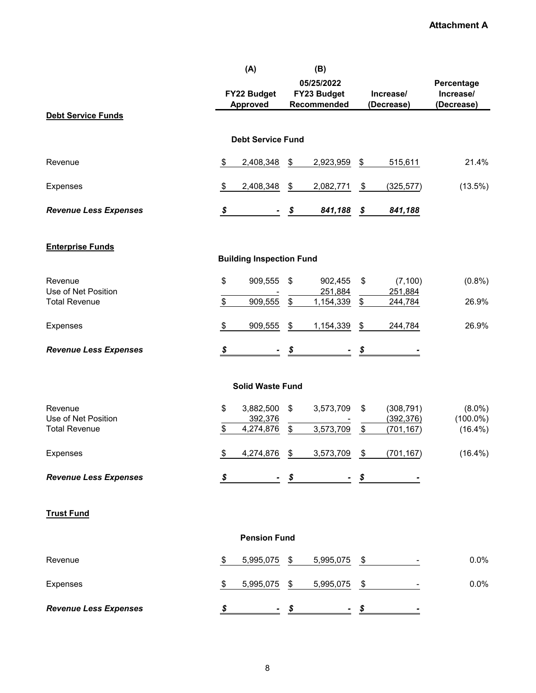|                                |                     | (A)                             |    | (B)            |                           |                          |                           |
|--------------------------------|---------------------|---------------------------------|----|----------------|---------------------------|--------------------------|---------------------------|
|                                |                     |                                 |    | 05/25/2022     |                           |                          | Percentage                |
|                                |                     | FY22 Budget                     |    | FY23 Budget    |                           | Increase/                | Increase/                 |
|                                |                     | Approved                        |    | Recommended    |                           | (Decrease)               | (Decrease)                |
| <b>Debt Service Funds</b>      |                     |                                 |    |                |                           |                          |                           |
|                                |                     |                                 |    |                |                           |                          |                           |
|                                |                     | <b>Debt Service Fund</b>        |    |                |                           |                          |                           |
|                                |                     |                                 |    |                |                           |                          |                           |
| Revenue                        | \$                  | 2,408,348                       | \$ | 2,923,959      | \$                        | 515,611                  | 21.4%                     |
|                                |                     |                                 |    |                |                           |                          |                           |
| Expenses                       | \$                  | 2,408,348                       | \$ | 2,082,771      | \$                        | (325, 577)               | (13.5%)                   |
|                                |                     |                                 |    |                |                           |                          |                           |
| <b>Revenue Less Expenses</b>   | $\pmb{\mathcal{S}}$ |                                 | \$ | 841,188        | \$                        | 841,188                  |                           |
|                                |                     |                                 |    |                |                           |                          |                           |
|                                |                     |                                 |    |                |                           |                          |                           |
| <b>Enterprise Funds</b>        |                     |                                 |    |                |                           |                          |                           |
|                                |                     | <b>Building Inspection Fund</b> |    |                |                           |                          |                           |
| Revenue                        | \$                  | 909,555                         | \$ | 902,455        |                           |                          |                           |
| Use of Net Position            |                     |                                 |    | 251,884        | \$                        | (7, 100)<br>251,884      | (0.8% )                   |
| <b>Total Revenue</b>           | \$                  | 909,555                         | \$ | 1,154,339      | \$                        | 244,784                  | 26.9%                     |
|                                |                     |                                 |    |                |                           |                          |                           |
| Expenses                       | \$                  | 909,555                         | \$ | 1,154,339      | \$                        | 244,784                  | 26.9%                     |
|                                |                     |                                 |    |                |                           |                          |                           |
| <b>Revenue Less Expenses</b>   | \$                  | $\blacksquare$                  | \$ | $\blacksquare$ | \$                        |                          |                           |
|                                |                     |                                 |    |                |                           |                          |                           |
|                                |                     |                                 |    |                |                           |                          |                           |
|                                |                     | <b>Solid Waste Fund</b>         |    |                |                           |                          |                           |
|                                |                     |                                 |    |                |                           |                          |                           |
| Revenue<br>Use of Net Position | \$                  | 3,882,500                       | \$ | 3,573,709      | \$                        | (308, 791)               | $(8.0\%)$                 |
| <b>Total Revenue</b>           | \$                  | 392,376<br>4,274,876            | \$ | 3,573,709      | $\boldsymbol{\mathsf{S}}$ | (392, 376)<br>(701, 167) | $(100.0\%)$<br>$(16.4\%)$ |
|                                |                     |                                 |    |                |                           |                          |                           |
| <b>Expenses</b>                | \$                  | 4,274,876                       | \$ | 3,573,709      | \$                        | (701, 167)               | $(16.4\%)$                |
|                                |                     |                                 |    |                |                           |                          |                           |
| <b>Revenue Less Expenses</b>   | \$                  |                                 | \$ |                | \$                        |                          |                           |
|                                |                     |                                 |    |                |                           |                          |                           |
|                                |                     |                                 |    |                |                           |                          |                           |
| <b>Trust Fund</b>              |                     |                                 |    |                |                           |                          |                           |
|                                |                     |                                 |    |                |                           |                          |                           |
|                                |                     | <b>Pension Fund</b>             |    |                |                           |                          |                           |
|                                |                     |                                 |    |                |                           |                          |                           |
| Revenue                        | \$                  | 5,995,075                       | \$ | 5,995,075      | \$                        |                          | 0.0%                      |
|                                |                     |                                 |    |                |                           |                          |                           |
| Expenses                       | \$                  | 5,995,075                       | \$ | 5,995,075      | \$                        |                          | 0.0%                      |
|                                |                     |                                 |    |                |                           |                          |                           |
| <b>Revenue Less Expenses</b>   | \$                  |                                 | S  |                | S                         |                          |                           |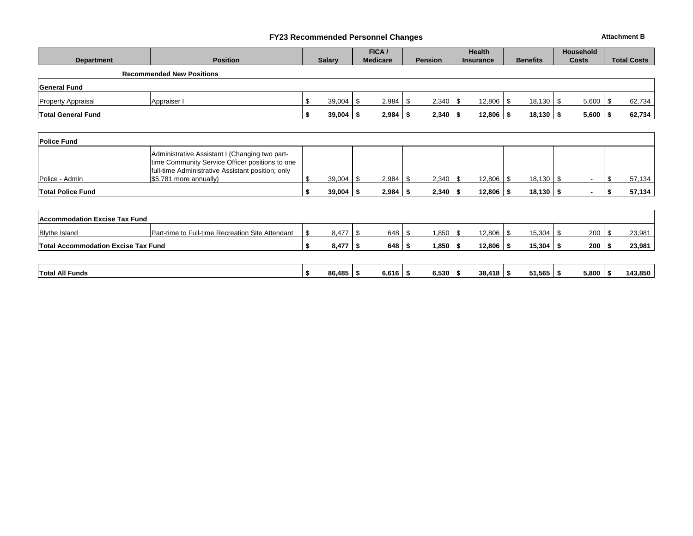#### **FY23 Recommended Personnel Changes Attachment B**

|                                            |                                                                                                                                                        |    |               | FICA /          |            |                |      | <b>Health</b>    |                 |               | <b>Household</b> |                    |
|--------------------------------------------|--------------------------------------------------------------------------------------------------------------------------------------------------------|----|---------------|-----------------|------------|----------------|------|------------------|-----------------|---------------|------------------|--------------------|
| <b>Department</b>                          | <b>Position</b>                                                                                                                                        |    | <b>Salary</b> | <b>Medicare</b> |            | <b>Pension</b> |      | <b>Insurance</b> | <b>Benefits</b> |               | <b>Costs</b>     | <b>Total Costs</b> |
|                                            | <b>Recommended New Positions</b>                                                                                                                       |    |               |                 |            |                |      |                  |                 |               |                  |                    |
| <b>General Fund</b>                        |                                                                                                                                                        |    |               |                 |            |                |      |                  |                 |               |                  |                    |
| <b>Property Appraisal</b>                  | Appraiser I                                                                                                                                            | \$ | 39,004        | \$              | 2,984      | 2,340<br>-\$   | - \$ | 12,806           | - \$            | $18,130$ \$   | 5,600            | \$<br>62,734       |
| <b>Total General Fund</b>                  |                                                                                                                                                        | S. | 39,004        | \$              | 2,984      | 2,340<br>-\$   | - \$ | 12,806           | - \$            | $18,130$   \$ | 5,600            | \$<br>62,734       |
|                                            |                                                                                                                                                        |    |               |                 |            |                |      |                  |                 |               |                  |                    |
| <b>Police Fund</b>                         |                                                                                                                                                        |    |               |                 |            |                |      |                  |                 |               |                  |                    |
|                                            | Administrative Assistant I (Changing two part-<br>time Community Service Officer positions to one<br>full-time Administrative Assistant position; only |    |               |                 |            |                |      |                  |                 |               |                  |                    |
| Police - Admin                             | \$5,781 more annually)                                                                                                                                 | \$ | 39,004        | \$              | 2,984      | 2,340<br>-\$   | - \$ | 12,806           | l \$            | $18,130$ \$   | $\sim$           | \$<br>57,134       |
| <b>Total Police Fund</b>                   |                                                                                                                                                        | \$ | 39,004        | -\$             | 2,984      | 2,340<br>-\$   | l \$ | $12,806$ \$      |                 | $18,130$ \$   |                  | \$<br>57,134       |
|                                            |                                                                                                                                                        |    |               |                 |            |                |      |                  |                 |               |                  |                    |
| Accommodation Excise Tax Fund              |                                                                                                                                                        |    |               |                 |            |                |      |                  |                 |               |                  |                    |
| <b>Blythe Island</b>                       | Part-time to Full-time Recreation Site Attendant                                                                                                       | \$ | 8,477         | \$              | 648        | \$<br>1,850    | -\$  | 12,806           | 15,304<br>- \$  |               | 200<br>- \$      | \$<br>23,981       |
| <b>Total Accommodation Excise Tax Fund</b> |                                                                                                                                                        | \$ | 8,477         | -\$             | 648        | 1,850<br>-\$   | - \$ | 12,806           | 15,304<br>l Si  |               | 200<br>l Si      | \$<br>23,981       |
|                                            |                                                                                                                                                        |    |               |                 |            |                |      |                  |                 |               |                  |                    |
| <b>Total All Funds</b>                     |                                                                                                                                                        | \$ | 86,485        | -\$             | $6,616$ \$ | 6,530          | ∣\$. | 38,418           | l \$            | $51,565$ \$   | 5,800            | \$<br>143,850      |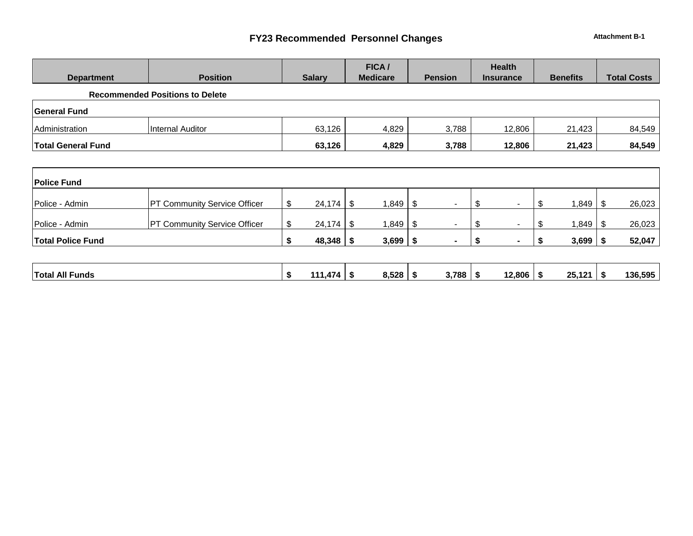## **FY23 Recommended Personnel Changes Attachment B-1**

|                           |                                        |               | FICA/           |                        | <b>Health</b>        |                 |                     |
|---------------------------|----------------------------------------|---------------|-----------------|------------------------|----------------------|-----------------|---------------------|
| <b>Department</b>         | <b>Position</b>                        | <b>Salary</b> | <b>Medicare</b> | <b>Pension</b>         | <b>Insurance</b>     | <b>Benefits</b> | <b>Total Costs</b>  |
|                           | <b>Recommended Positions to Delete</b> |               |                 |                        |                      |                 |                     |
| <b>General Fund</b>       |                                        |               |                 |                        |                      |                 |                     |
| Administration            | <b>Internal Auditor</b>                | 63,126        | 4,829           | 3,788                  | 12,806               | 21,423          | 84,549              |
| <b>Total General Fund</b> |                                        | 63,126        | 4,829           | 3,788                  | 12,806               | 21,423          | 84,549              |
|                           |                                        |               |                 |                        |                      |                 |                     |
| <b>Police Fund</b>        |                                        |               |                 |                        |                      |                 |                     |
| Police - Admin            | <b>PT Community Service Officer</b>    | \$<br>24,174  | 1,849<br>- \$   | - \$<br>$\blacksquare$ | \$<br>$\blacksquare$ | \$<br>1,849     | 26,023<br>- \$      |
| Police - Admin            | <b>PT Community Service Officer</b>    | \$<br>24,174  | 1,849<br>S      | - \$<br>$\blacksquare$ | \$<br>$\sim$         | \$<br>1,849     | 26,023<br><b>\$</b> |
| <b>Total Police Fund</b>  |                                        | \$<br>48,348  | 3,699<br>P      | - 5                    | S                    | 3,699           | 52,047              |

| 171<br>Funds<br>- 13 | All I<br>Total |  | $\overline{\phantom{a}}$<br>44/ |  | 8,528 |  | .788 |  | 12,806 |  | 25,121 |  | 136,595 |
|----------------------|----------------|--|---------------------------------|--|-------|--|------|--|--------|--|--------|--|---------|
|----------------------|----------------|--|---------------------------------|--|-------|--|------|--|--------|--|--------|--|---------|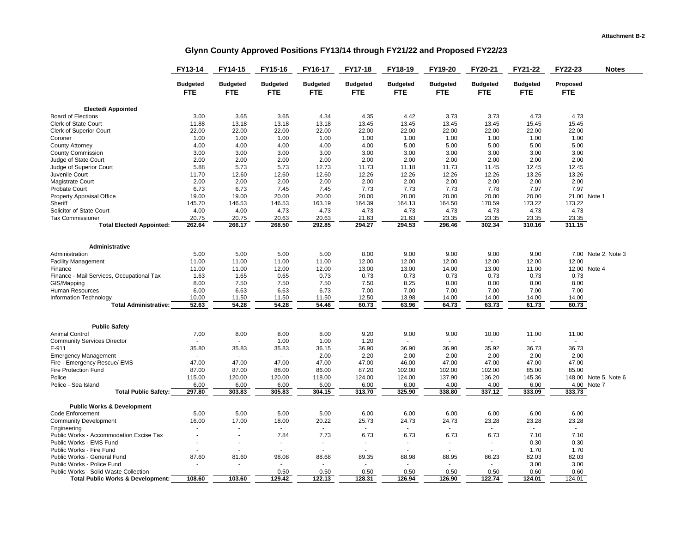#### **Glynn County Approved Positions FY13/14 through FY21/22 and Proposed FY22/23**

|                                                           | FY13-14         | FY14-15         | FY15-16         | FY16-17         | FY17-18         | FY18-19         | FY19-20         | FY20-21         | FY21-22         | FY22-23    | <b>Notes</b>          |
|-----------------------------------------------------------|-----------------|-----------------|-----------------|-----------------|-----------------|-----------------|-----------------|-----------------|-----------------|------------|-----------------------|
|                                                           | <b>Budgeted</b> | <b>Budgeted</b> | <b>Budgeted</b> | <b>Budgeted</b> | <b>Budgeted</b> | <b>Budgeted</b> | <b>Budgeted</b> | <b>Budgeted</b> | <b>Budgeted</b> | Proposed   |                       |
|                                                           | <b>FTE</b>      | <b>FTE</b>      | <b>FTE</b>      | <b>FTE</b>      | <b>FTE</b>      | <b>FTE</b>      | <b>FTE</b>      | <b>FTE</b>      | <b>FTE</b>      | <b>FTE</b> |                       |
| <b>Elected/ Appointed</b>                                 |                 |                 |                 |                 |                 |                 |                 |                 |                 |            |                       |
| <b>Board of Elections</b>                                 | 3.00            | 3.65            | 3.65            | 4.34            | 4.35            | 4.42            | 3.73            | 3.73            | 4.73            | 4.73       |                       |
| <b>Clerk of State Court</b>                               | 11.88           | 13.18           | 13.18           | 13.18           | 13.45           | 13.45           | 13.45           | 13.45           | 15.45           | 15.45      |                       |
| <b>Clerk of Superior Court</b>                            | 22.00           | 22.00           | 22.00           | 22.00           | 22.00           | 22.00           | 22.00           | 22.00           | 22.00           | 22.00      |                       |
| Coroner                                                   | 1.00            | 1.00            | 1.00            | 1.00            | 1.00            | 1.00            | 1.00            | 1.00            | 1.00            | 1.00       |                       |
| <b>County Attorney</b>                                    | 4.00            | 4.00            | 4.00            | 4.00            | 4.00            | 5.00            | 5.00            | 5.00            | 5.00            | 5.00       |                       |
| <b>County Commission</b>                                  | 3.00            | 3.00            | 3.00            | 3.00            | 3.00            | 3.00            | 3.00            | 3.00            | 3.00            | 3.00       |                       |
| Judge of State Court                                      | 2.00            | 2.00            | 2.00            | 2.00            | 2.00            | 2.00            | 2.00            | 2.00            | 2.00            | 2.00       |                       |
| Judge of Superior Court                                   | 5.88            | 5.73            | 5.73            | 12.73           | 11.73           | 11.18           | 11.73           | 11.45           | 12.45           | 12.45      |                       |
| Juvenile Court                                            | 11.70           | 12.60           | 12.60           | 12.60           | 12.26           | 12.26           | 12.26           | 12.26           | 13.26           | 13.26      |                       |
| Magistrate Court                                          | 2.00            | 2.00            | 2.00            | 2.00            | 2.00            | 2.00            | 2.00            | 2.00            | 2.00            | 2.00       |                       |
| <b>Probate Court</b>                                      | 6.73            | 6.73            | 7.45            | 7.45            | 7.73            | 7.73            | 7.73            | 7.78            | 7.97            | 7.97       |                       |
| <b>Property Appraisal Office</b>                          | 19.00           | 19.00           | 20.00           | 20.00           | 20.00           | 20.00           | 20.00           | 20.00           | 20.00           |            | 21.00 Note 1          |
| Sheriff                                                   | 145.70          | 146.53          | 146.53          | 163.19          | 164.39          | 164.13          | 164.50          | 170.59          | 173.22          | 173.22     |                       |
| Solicitor of State Court                                  | 4.00            | 4.00            | 4.73            | 4.73            | 4.73            | 4.73            | 4.73            | 4.73            | 4.73            | 4.73       |                       |
| <b>Tax Commissioner</b>                                   | 20.75           | 20.75           | 20.63           | 20.63           | 21.63           | 21.63           | 23.35           | 23.35           | 23.35           | 23.35      |                       |
| <b>Total Elected/ Appointed:</b>                          | 262.64          | 266.17          | 268.50          | 292.85          | 294.27          | 294.53          | 296.46          | 302.34          | 310.16          | 311.15     |                       |
|                                                           |                 |                 |                 |                 |                 |                 |                 |                 |                 |            |                       |
|                                                           |                 |                 |                 |                 |                 |                 |                 |                 |                 |            |                       |
| Administrative                                            |                 |                 |                 |                 |                 |                 |                 |                 |                 |            |                       |
| Administration                                            | 5.00            | 5.00            | 5.00            | 5.00            | 8.00            | 9.00            | 9.00            | 9.00            | 9.00            |            | 7.00 Note 2, Note 3   |
| <b>Facility Management</b>                                | 11.00           | 11.00           | 11.00           | 11.00           | 12.00           | 12.00           | 12.00           | 12.00           | 12.00           | 12.00      |                       |
| Finance                                                   | 11.00           | 11.00           | 12.00           | 12.00           | 13.00           | 13.00           | 14.00           | 13.00           | 11.00           |            | 12.00 Note 4          |
| Finance - Mail Services, Occupational Tax                 | 1.63            | 1.65            | 0.65            | 0.73            | 0.73            | 0.73            | 0.73            | 0.73            | 0.73            | 0.73       |                       |
| GIS/Mapping                                               | 8.00            | 7.50            | 7.50            | 7.50            | 7.50            | 8.25            | 8.00            | 8.00            | 8.00            | 8.00       |                       |
| Human Resources                                           | 6.00            | 6.63            | 6.63            | 6.73            | 7.00            | 7.00            | 7.00            | 7.00            | 7.00            | 7.00       |                       |
| Information Technology                                    | 10.00           | 11.50           | 11.50           | 11.50           | 12.50           | 13.98           | 14.00           | 14.00           | 14.00           | 14.00      |                       |
| <b>Total Administrative:</b>                              | 52.63           | 54.28           | 54.28           | 54.46           | 60.73           | 63.96           | 64.73           | 63.73           | 61.73           | 60.73      |                       |
|                                                           |                 |                 |                 |                 |                 |                 |                 |                 |                 |            |                       |
| <b>Public Safety</b>                                      |                 |                 |                 |                 |                 |                 |                 |                 |                 |            |                       |
| <b>Animal Control</b>                                     | 7.00            | 8.00            | 8.00            | 8.00            | 9.20            | 9.00            | 9.00            | 10.00           | 11.00           | 11.00      |                       |
| <b>Community Services Director</b>                        |                 | $\sim$          | 1.00            | 1.00            | 1.20            |                 | ×.              |                 | $\sim$          |            |                       |
| E-911                                                     | 35.80           | 35.83           | 35.83           | 36.15           | 36.90           | 36.90           | 36.90           | 35.92           | 36.73           | 36.73      |                       |
| <b>Emergency Management</b>                               |                 | $\sim$          | $\sim$          | 2.00            | 2.20            | 2.00            | 2.00            | 2.00            | 2.00            | 2.00       |                       |
| Fire - Emergency Rescue/ EMS                              | 47.00           | 47.00           | 47.00           | 47.00           | 47.00           | 46.00           | 47.00           | 47.00           | 47.00           | 47.00      |                       |
| <b>Fire Protection Fund</b>                               | 87.00           | 87.00           | 88.00           | 86.00           | 87.20           | 102.00          | 102.00          | 102.00          | 85.00           | 85.00      |                       |
| Police                                                    | 115.00          | 120.00          | 120.00          | 118.00          | 124.00          | 124.00          | 137.90          | 136.20          | 145.36          |            | 148.00 Note 5, Note 6 |
| Police - Sea Island                                       | 6.00            | 6.00            | 6.00            | 6.00            | 6.00            | 6.00            | 4.00            | 4.00            | 6.00            |            | 4.00 Note 7           |
| <b>Total Public Safety:</b>                               | 297.80          | 303.83          | 305.83          | 304.15          | 313.70          | 325.90          | 338.80          | 337.12          | 333.09          | 333.73     |                       |
|                                                           |                 |                 |                 |                 |                 |                 |                 |                 |                 |            |                       |
| <b>Public Works &amp; Development</b><br>Code Enforcement | 5.00            | 5.00            | 5.00            | 5.00            | 6.00            | 6.00            | 6.00            | 6.00            | 6.00            | 6.00       |                       |
| <b>Community Development</b>                              | 16.00           | 17.00           | 18.00           | 20.22           | 25.73           | 24.73           | 24.73           | 23.28           | 23.28           | 23.28      |                       |
| Engineering                                               |                 | $\overline{a}$  | $\sim$          | $\sim$          | $\sim$          | $\sim$          | ×               |                 | $\sim$          | $\sim$     |                       |
| Public Works - Accommodation Excise Tax                   |                 | $\overline{a}$  | 7.84            | 7.73            | 6.73            | 6.73            | 6.73            | 6.73            | 7.10            | 7.10       |                       |
| Public Works - EMS Fund                                   |                 | $\sim$          | Ĭ.              |                 |                 | ÷.              |                 |                 | 0.30            | 0.30       |                       |
| Public Works - Fire Fund                                  |                 |                 |                 |                 |                 |                 |                 |                 | 1.70            | 1.70       |                       |
| Public Works - General Fund                               | 87.60           | 81.60           | 98.08           | 88.68           | 89.35           | 88.98           | 88.95           | 86.23           | 82.03           | 82.03      |                       |
| Public Works - Police Fund                                |                 |                 |                 |                 |                 |                 |                 |                 | 3.00            | 3.00       |                       |
| Public Works - Solid Waste Collection                     |                 |                 | 0.50            | 0.50            | 0.50            | 0.50            | 0.50            | 0.50            | 0.60            | 0.60       |                       |
| <b>Total Public Works &amp; Development:</b>              | 108.60          | 103.60          | 129.42          | 122.13          | 128.31          | 126.94          | 126.90          | 122.74          | 124.01          | 124.01     |                       |
|                                                           |                 |                 |                 |                 |                 |                 |                 |                 |                 |            |                       |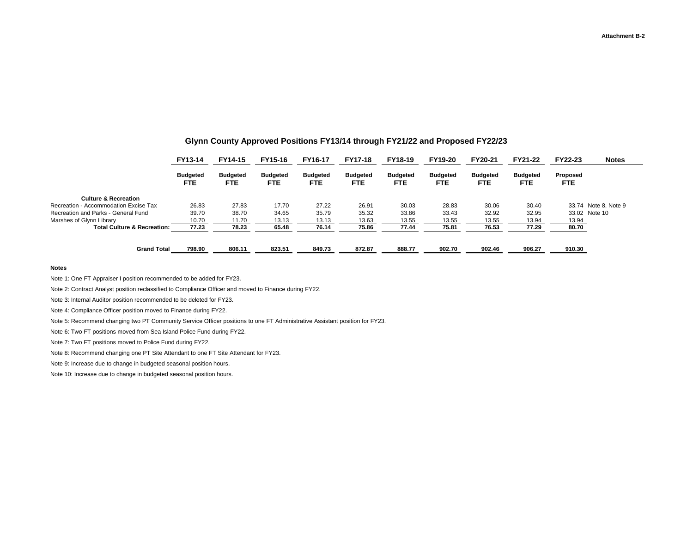|                                        | FY13-14                       | FY14-15                       | FY15-16                       | FY16-17                 | <b>FY17-18</b>         | FY18-19                       | FY19-20                       | FY20-21                | FY21-22                 | FY22-23                | <b>Notes</b>         |
|----------------------------------------|-------------------------------|-------------------------------|-------------------------------|-------------------------|------------------------|-------------------------------|-------------------------------|------------------------|-------------------------|------------------------|----------------------|
|                                        | <b>Budgeted</b><br><b>FTE</b> | <b>Budgeted</b><br><b>FTE</b> | <b>Budgeted</b><br><b>FTE</b> | <b>Budgeted</b><br>FTE. | <b>Budgeted</b><br>FTE | <b>Budgeted</b><br><b>FTE</b> | <b>Budgeted</b><br><b>FTE</b> | <b>Budgeted</b><br>FTE | <b>Budgeted</b><br>FTE. | Proposed<br><b>FTE</b> |                      |
| <b>Culture &amp; Recreation</b>        |                               |                               |                               |                         |                        |                               |                               |                        |                         |                        |                      |
| Recreation - Accommodation Excise Tax  | 26.83                         | 27.83                         | 17.70                         | 27.22                   | 26.91                  | 30.03                         | 28.83                         | 30.06                  | 30.40                   |                        | 33.74 Note 8, Note 9 |
| Recreation and Parks - General Fund    | 39.70                         | 38.70                         | 34.65                         | 35.79                   | 35.32                  | 33.86                         | 33.43                         | 32.92                  | 32.95                   |                        | 33.02 Note 10        |
| Marshes of Glynn Library               | 10.70                         | 11.70                         | 13.13                         | 13.13                   | 13.63                  | 13.55                         | 13.55                         | 13.55                  | 13.94                   | 13.94                  |                      |
| <b>Total Culture &amp; Recreation:</b> | 77.23                         | 78.23                         | 65.48                         | 76.14                   | 75.86                  | 77.44                         | 75.81                         | 76.53                  | 77.29                   | 80.70                  |                      |
| <b>Grand Total</b>                     | 798.90                        | 806.11                        | 823.51                        | 849.73                  | 872.87                 | 888.77                        | 902.70                        | 902.46                 | 906.27                  | 910.30                 |                      |

#### **Glynn County Approved Positions FY13/14 through FY21/22 and Proposed FY22/23**

#### **Notes**

Note 1: One FT Appraiser I position recommended to be added for FY23.

Note 2: Contract Analyst position reclassified to Compliance Officer and moved to Finance during FY22.

Note 3: Internal Auditor position recommended to be deleted for FY23.

Note 4: Compliance Officer position moved to Finance during FY22.

Note 5: Recommend changing two PT Community Service Officer positions to one FT Administrative Assistant position for FY23.

Note 6: Two FT positions moved from Sea Island Police Fund during FY22.

Note 7: Two FT positions moved to Police Fund during FY22.

Note 8: Recommend changing one PT Site Attendant to one FT Site Attendant for FY23.

Note 9: Increase due to change in budgeted seasonal position hours.

Note 10: Increase due to change in budgeted seasonal position hours.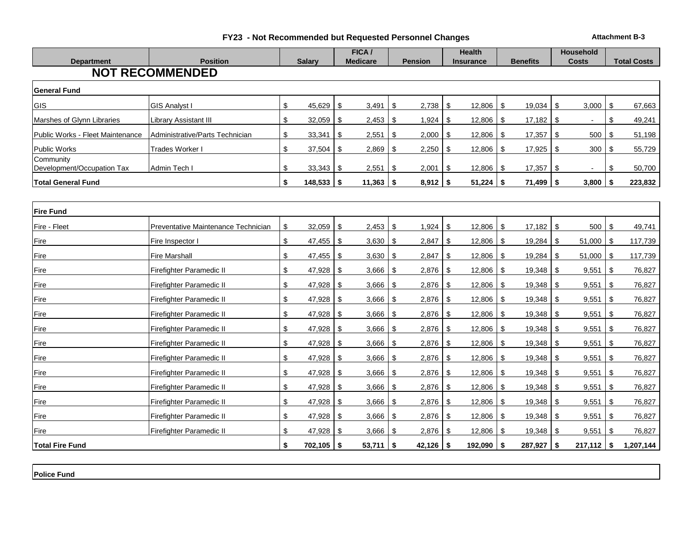|  |  | FY23 - Not Recommended but Requested Personnel Changes |  |  |  |  |
|--|--|--------------------------------------------------------|--|--|--|--|
|--|--|--------------------------------------------------------|--|--|--|--|

**FIZA - Recording Personnel Changes Attachment B-3** 

| <b>Department</b>                       | <b>Position</b>                     | <b>Salary</b>              | FICA /<br><b>Medicare</b> |            | <b>Pension</b> | <b>Health</b><br><b>Insurance</b> |           | <b>Benefits</b> |            | Household<br><b>Costs</b> |     | <b>Total Costs</b> |
|-----------------------------------------|-------------------------------------|----------------------------|---------------------------|------------|----------------|-----------------------------------|-----------|-----------------|------------|---------------------------|-----|--------------------|
|                                         | <b>NOT RECOMMENDED</b>              |                            |                           |            |                |                                   |           |                 |            |                           |     |                    |
| <b>General Fund</b>                     |                                     |                            |                           |            |                |                                   |           |                 |            |                           |     |                    |
| <b>GIS</b>                              | <b>GIS Analyst I</b>                | \$<br>45,629               | 3,491<br>\$               | \$         | 2,738          | 12,806<br>-S                      | \$        | 19,034          | \$         | 3,000                     | \$  | 67,663             |
| Marshes of Glynn Libraries              | <b>Library Assistant III</b>        | \$<br>$32,059$ \ \$        | $2,453$ \$                |            | 1,924          | $12,806$ \$<br>\$                 |           | 17,182          | <b>S</b>   |                           | \$  | 49,241             |
| Public Works - Fleet Maintenance        | Administrative/Parts Technician     | \$<br>$33,341$ \$          | 2,551                     | \$         | 2,000          | $12,806$ \$<br>\$                 |           | 17,357          | \$         | 500                       | \$  | 51,198             |
| Public Works                            | Trades Worker I                     | \$<br>37,504               | \$<br>2,869               | \$         | 2,250          | \$<br>12,806                      | <b>S</b>  | 17,925          | <b>\$</b>  | 300                       | \$  | 55,729             |
| Community<br>Development/Occupation Tax | Admin Tech I                        | \$<br>$33,343$ \$          | 2,551                     | -\$        | 2,001          | 12,806<br>\$.                     | \$        | 17,357          | \$         |                           | \$  | 50,700             |
| <b>Total General Fund</b>               |                                     | \$<br>$148,533$ \$         | $11,363$ \$               |            | $8,912$ \$     | $51,224$ \$                       |           | 71,499          | $\sqrt{2}$ | 3,800                     | \$  | 223,832            |
|                                         |                                     |                            |                           |            |                |                                   |           |                 |            |                           |     |                    |
| <b>Fire Fund</b>                        |                                     |                            |                           |            |                |                                   |           |                 |            |                           |     |                    |
| Fire - Fleet                            | Preventative Maintenance Technician | \$<br>32,059               | 2,453<br>\$               | \$         | 1,924          | $12,806$ \$<br>\$                 |           | 17,182          | \$         | 500                       | \$  | 49,741             |
| Fire                                    | Fire Inspector I                    | \$                         | $3,630$ \ \$              |            | 2,847          | -\$<br>12,806                     | <b>S</b>  | 19,284          | -\$        | 51,000                    | -\$ | 117,739            |
| Fire                                    | <b>Fire Marshall</b>                | \$<br>$47,455$ \$          | 3,630                     | \$         | 2,847          | 12,806<br>\$                      | \$        | 19,284          | \$         | 51,000                    | -\$ | 117,739            |
| Fire                                    | Firefighter Paramedic II            | \$<br>47,928 \$            | $3,666$ \$                |            | 2,876          | $12,806$ \$<br>- \$               |           | 19,348          | <b>S</b>   | 9,551                     | \$  | 76,827             |
| Fire                                    | Firefighter Paramedic II            | \$<br>47,928               | \$<br>3,666               | -\$        | 2,876          | -\$<br>12,806                     | \$        | 19,348          | \$         | 9,551                     | \$  | 76,827             |
| Fire                                    | Firefighter Paramedic II            | \$<br>47,928               | \$<br>3,666               | \$         | 2,876          | 12,806<br>-\$                     | \$        | 19,348          | \$         | 9,551                     | \$  | 76,827             |
| Fire                                    | Firefighter Paramedic II            | \$                         | 3,666                     | -\$        | $2,876$ \$     | $12,806$ \$                       |           |                 |            | 9,551                     | -\$ | 76,827             |
| Fire                                    | Firefighter Paramedic II            | \$<br>47,928 $\frac{1}{3}$ | $3,666$ \$                |            | $2,876$ \$     | $12,806$ \$                       |           | 19,348          | \$         | 9,551                     | \$  | 76,827             |
| Fire                                    | Firefighter Paramedic II            | \$<br>47,928               | 3,666<br>\$               | \$         | 2,876          | 12,806<br>\$                      | \$        | 19,348          | \$         | 9,551                     | \$  | 76,827             |
| Fire                                    | Firefighter Paramedic II            | \$<br>47,928 $\frac{1}{3}$ | 3,666                     | \$         | 2,876          | 12,806<br>\$                      | \$        | 19,348          | \$         | 9,551                     | \$  | 76,827             |
| Fire                                    | Firefighter Paramedic II            | \$<br>47,928               | 3,666<br>\$               | \$         | 2,876          | 12,806<br>\$                      | \$        | 19,348          | \$         | 9,551                     | \$  | 76,827             |
| Fire                                    | Firefighter Paramedic II            | \$                         | 3,666                     | - \$       | 2,876          | $12,806$ \$<br>\$                 |           | 19,348          | <b>S</b>   | 9,551                     | \$  | 76,827             |
| Fire                                    | Firefighter Paramedic II            | \$<br>47,928               | \$<br>3,666               | \$         | 2,876          | -\$<br>12,806                     | \$        | 19,348          | \$         | 9,551                     | \$  | 76,827             |
| Fire                                    | Firefighter Paramedic II            | \$<br>47,928 \$            | $3,666$ \$                |            | 2,876          | -\$<br>12,806                     | <b>\$</b> | 19,348          | $\sqrt{3}$ | 9,551                     | \$  | 76,827             |
| Fire                                    | Firefighter Paramedic II            | \$                         | 3,666                     | $\sqrt{3}$ | $2,876$ \$     | $12,806$ \$                       |           | 19,348          | <b>S</b>   | 9,551                     | \$  | 76,827             |
| <b>Total Fire Fund</b>                  |                                     | \$<br>$702,105$ \$         | $53,711$ \$               |            | $42,126$ \ \$  | $192,090$ \$                      |           | 287,927         | 5          | $217,112$ \$              |     | 1,207,144          |

**Police Fund**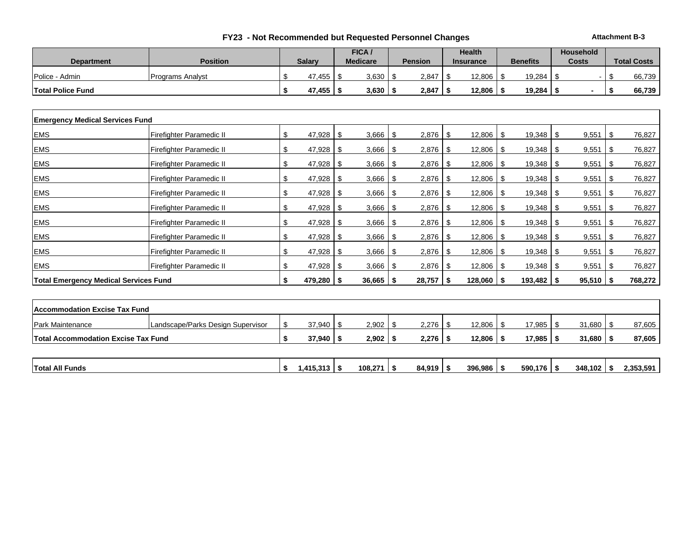|  |  | FY23 - Not Recommended but Requested Personnel Changes |  |  |  |  |
|--|--|--------------------------------------------------------|--|--|--|--|
|--|--|--------------------------------------------------------|--|--|--|--|

**FIZA - Recording Personnel Changes Attachment B-3** 

|                          |                          |               | FICA /          |                | <b>Health</b>    |                 | <b>Household</b> |                    |
|--------------------------|--------------------------|---------------|-----------------|----------------|------------------|-----------------|------------------|--------------------|
| <b>Department</b>        | <b>Position</b>          | <b>Salarv</b> | <b>Medicare</b> | <b>Pension</b> | <b>Insurance</b> | <b>Benefits</b> | <b>Costs</b>     | <b>Total Costs</b> |
| Police - Admin           | <b>IPrograms Analyst</b> | 47.455        | 3,630           | $2,847$   \$   | 12,806           | 19,284          |                  | 66.739             |
| <b>Total Police Fund</b> |                          | 47,455        | 3,630           | $2,847$   \$   | 12,806           | 19,284          |                  | 66.739             |

| <b>Emergency Medical Services Fund</b> |                                              |                   |             |      |             |      |         |      |                |      |             |      |         |
|----------------------------------------|----------------------------------------------|-------------------|-------------|------|-------------|------|---------|------|----------------|------|-------------|------|---------|
| <b>EMS</b>                             | Firefighter Paramedic II                     | \$<br>$47,928$ \$ | 3,666       | - \$ | 2,876       | -S   | 12,806  | -\$  |                |      | 9,551       | \$   | 76,827  |
| <b>EMS</b>                             | <b>Firefighter Paramedic II</b>              | \$<br>47,928      | \$<br>3,666 | S    | 2,876       |      | 12,806  | \$.  | 19,348         | - \$ | 9,551       | \$   | 76,827  |
| <b>EMS</b>                             | Firefighter Paramedic II                     | \$                | 3,666       | - \$ |             |      | 12,806  | - \$ |                |      | 9,551       | - \$ | 76,827  |
| <b>EMS</b>                             | Firefighter Paramedic II                     | \$                | 3,666       | - \$ |             |      | 12,806  | - \$ |                |      | 9,551       | - \$ | 76,827  |
| <b>EMS</b>                             | Firefighter Paramedic II                     | \$<br>$47,928$ \$ | 3,666       | - 5  | $2,876$ \\$ |      | 12,806  | - \$ |                |      | 9,551       | - \$ | 76,827  |
| <b>EMS</b>                             | Firefighter Paramedic II                     | \$                | 3,666       | - 5  | 2,876       | -S   | 12,806  | - \$ |                |      | 9,551       | - \$ | 76,827  |
| <b>EMS</b>                             | Firefighter Paramedic II                     | \$<br>47,928      | \$<br>3,666 | - \$ | 2,876       | -9   | 12,806  | - \$ | 19,348         | - \$ | 9,551       | \$   | 76,827  |
| <b>EMS</b>                             | Firefighter Paramedic II                     | \$                | 3,666       | - \$ | 2,876       | -S   | 12,806  | - \$ |                |      | 9,551       | -\$  | 76,827  |
| <b>EMS</b>                             | Firefighter Paramedic II                     | \$<br>47,928      | \$<br>3,666 | - \$ | 2,876       | - \$ | 12,806  | -\$  | $19,348$   \$  |      | 9,551       | \$   | 76,827  |
| <b>EMS</b>                             | Firefighter Paramedic II                     | \$<br>47,928      | \$<br>3,666 | -S   | 2,876       |      | 12,806  |      | 19,348         | -\$  | 9,551       | \$   | 76,827  |
|                                        | <b>Total Emergency Medical Services Fund</b> | $479,280$ \$      | 36,665      |      | 28,757      |      | 128,060 |      | $193,482$ \ \$ |      | $95,510$ \$ |      | 768,272 |

| <b>Accommodation Excise Tax Fund</b>       |                                   |               |       |              |        |        |        |        |
|--------------------------------------------|-----------------------------------|---------------|-------|--------------|--------|--------|--------|--------|
| <b>Park Maintenance</b>                    | Landscape/Parks Design Supervisor | $37,940$ \ \$ | 2,902 | $2,276$   \$ | 12,806 | 17,985 | 31,680 | 87,605 |
| <b>Total Accommodation Excise Tax Fund</b> |                                   | 37,940        | 2,902 | $2,276$ \$   | 12,806 | 17,985 | 31,680 | 87,605 |
|                                            |                                   |               |       |              |        |        |        |        |

| <b>Total All Funds</b> | .5.313<br><b>A44</b><br>. . | 108.271 | 84.919 | 396,986 | 590.176 | 348<br>.102 | 2.353.59'<br>2,333,33 |
|------------------------|-----------------------------|---------|--------|---------|---------|-------------|-----------------------|
|                        |                             |         |        |         |         |             |                       |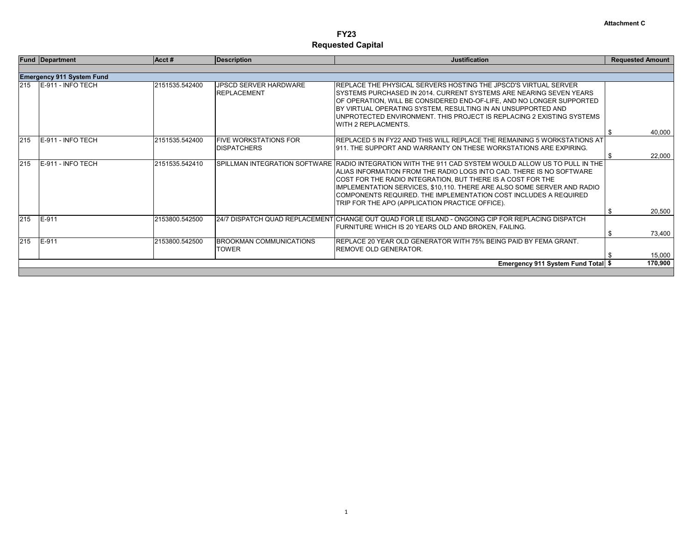|     | <b>Fund Department</b>           | Acct#          | <b>Description</b>                                 | <b>Justification</b>                                                                                                                                                                                                                                                                                                                                                                                                                            | <b>Requested Amount</b> |
|-----|----------------------------------|----------------|----------------------------------------------------|-------------------------------------------------------------------------------------------------------------------------------------------------------------------------------------------------------------------------------------------------------------------------------------------------------------------------------------------------------------------------------------------------------------------------------------------------|-------------------------|
|     |                                  |                |                                                    |                                                                                                                                                                                                                                                                                                                                                                                                                                                 |                         |
|     | <b>Emergency 911 System Fund</b> |                |                                                    |                                                                                                                                                                                                                                                                                                                                                                                                                                                 |                         |
| 215 | E-911 - INFO TECH                | 2151535.542400 | <b>JPSCD SERVER HARDWARE</b><br><b>REPLACEMENT</b> | <b>IREPLACE THE PHYSICAL SERVERS HOSTING THE JPSCD'S VIRTUAL SERVER</b><br>ISYSTEMS PURCHASED IN 2014. CURRENT SYSTEMS ARE NEARING SEVEN YEARS<br>OF OPERATION, WILL BE CONSIDERED END-OF-LIFE, AND NO LONGER SUPPORTED<br>BY VIRTUAL OPERATING SYSTEM, RESULTING IN AN UNSUPPORTED AND<br>UNPROTECTED ENVIRONMENT. THIS PROJECT IS REPLACING 2 EXISTING SYSTEMS<br><b>WITH 2 REPLACMENTS.</b>                                                  | 40,000<br>-S            |
| 215 | E-911 - INFO TECH                | 2151535.542400 | <b>FIVE WORKSTATIONS FOR</b><br><b>DISPATCHERS</b> | IREPLACED 5 IN FY22 AND THIS WILL REPLACE THE REMAINING 5 WORKSTATIONS AT<br>1911. THE SUPPORT AND WARRANTY ON THESE WORKSTATIONS ARE EXPIRING.                                                                                                                                                                                                                                                                                                 | 22,000<br>- \$          |
| 215 | E-911 - INFO TECH                | 2151535.542410 |                                                    | SPILLMAN INTEGRATION SOFTWARE RADIO INTEGRATION WITH THE 911 CAD SYSTEM WOULD ALLOW US TO PULL IN THE<br>IALIAS INFORMATION FROM THE RADIO LOGS INTO CAD. THERE IS NO SOFTWARE<br>COST FOR THE RADIO INTEGRATION, BUT THERE IS A COST FOR THE<br>IMPLEMENTATION SERVICES, \$10,110. THERE ARE ALSO SOME SERVER AND RADIO<br>COMPONENTS REQUIRED. THE IMPLEMENTATION COST INCLUDES A REQUIRED<br>TRIP FOR THE APO (APPLICATION PRACTICE OFFICE). |                         |
|     |                                  |                |                                                    |                                                                                                                                                                                                                                                                                                                                                                                                                                                 | 20,500<br>\$            |
| 215 | E-911                            | 2153800.542500 |                                                    | 24/7 DISPATCH QUAD REPLACEMENT CHANGE OUT QUAD FOR LE ISLAND - ONGOING CIP FOR REPLACING DISPATCH<br>FURNITURE WHICH IS 20 YEARS OLD AND BROKEN, FAILING.                                                                                                                                                                                                                                                                                       | 73,400<br>-\$           |
| 215 | E-911                            | 2153800.542500 | <b>BROOKMAN COMMUNICATIONS</b><br><b>TOWER</b>     | <b>REPLACE 20 YEAR OLD GENERATOR WITH 75% BEING PAID BY FEMA GRANT.</b><br><b>IREMOVE OLD GENERATOR.</b>                                                                                                                                                                                                                                                                                                                                        | 15,000                  |
|     |                                  |                |                                                    | Emergency 911 System Fund Total \$                                                                                                                                                                                                                                                                                                                                                                                                              | 170,900                 |
|     |                                  |                |                                                    |                                                                                                                                                                                                                                                                                                                                                                                                                                                 |                         |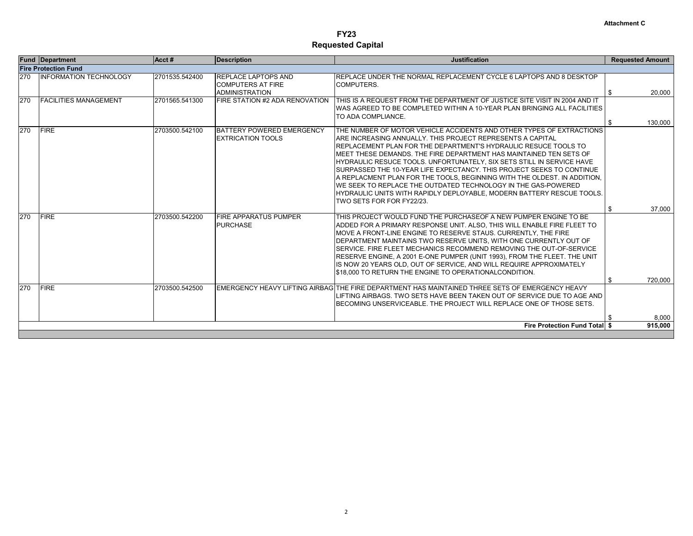| 270 | <b>Fire Protection Fund</b>   |                |                                                                                 |                                                                                                                                                                                                                                                                                                                                                                                                                                                                                                                                                                                                                                                                                         | <b>Requested Amount</b> |
|-----|-------------------------------|----------------|---------------------------------------------------------------------------------|-----------------------------------------------------------------------------------------------------------------------------------------------------------------------------------------------------------------------------------------------------------------------------------------------------------------------------------------------------------------------------------------------------------------------------------------------------------------------------------------------------------------------------------------------------------------------------------------------------------------------------------------------------------------------------------------|-------------------------|
|     |                               |                |                                                                                 |                                                                                                                                                                                                                                                                                                                                                                                                                                                                                                                                                                                                                                                                                         |                         |
|     | <b>INFORMATION TECHNOLOGY</b> | 2701535.542400 | <b>REPLACE LAPTOPS AND</b><br><b>COMPUTERS AT FIRE</b><br><b>ADMINISTRATION</b> | REPLACE UNDER THE NORMAL REPLACEMENT CYCLE 6 LAPTOPS AND 8 DESKTOP<br>COMPUTERS.                                                                                                                                                                                                                                                                                                                                                                                                                                                                                                                                                                                                        | \$<br>20,000            |
| 270 | <b>FACILITIES MANAGEMENT</b>  | 2701565.541300 | FIRE STATION #2 ADA RENOVATION                                                  | THIS IS A REQUEST FROM THE DEPARTMENT OF JUSTICE SITE VISIT IN 2004 AND IT<br>IWAS AGREED TO BE COMPLETED WITHIN A 10-YEAR PLAN BRINGING ALL FACILITIES<br>TO ADA COMPLIANCE.                                                                                                                                                                                                                                                                                                                                                                                                                                                                                                           |                         |
| 270 | <b>FIRE</b>                   | 2703500.542100 | BATTERY POWERED EMERGENCY<br><b>EXTRICATION TOOLS</b>                           | THE NUMBER OF MOTOR VEHICLE ACCIDENTS AND OTHER TYPES OF EXTRACTIONS<br>IARE INCREASING ANNUALLY. THIS PROJECT REPRESENTS A CAPITAL<br>IREPLACEMENT PLAN FOR THE DEPARTMENT'S HYDRAULIC RESUCE TOOLS TO<br>IMEET THESE DEMANDS. THE FIRE DEPARTMENT HAS MAINTAINED TEN SETS OF<br>IHYDRAULIC RESUCE TOOLS. UNFORTUNATELY. SIX SETS STILL IN SERVICE HAVE<br>ISURPASSED THE 10-YEAR LIFE EXPECTANCY. THIS PROJECT SEEKS TO CONTINUE<br>IA REPLACMENT PLAN FOR THE TOOLS. BEGINNING WITH THE OLDEST. IN ADDITION.<br>IWE SEEK TO REPLACE THE OUTDATED TECHNOLOGY IN THE GAS-POWERED<br>HYDRAULIC UNITS WITH RAPIDLY DEPLOYABLE, MODERN BATTERY RESCUE TOOLS.<br>TWO SETS FOR FOR FY22/23. | \$<br>130,000           |
|     |                               |                |                                                                                 |                                                                                                                                                                                                                                                                                                                                                                                                                                                                                                                                                                                                                                                                                         | \$<br>37,000            |
| 270 | <b>FIRE</b>                   | 2703500.542200 | <b>FIRE APPARATUS PUMPER</b><br><b>PURCHASE</b>                                 | THIS PROJECT WOULD FUND THE PURCHASEOF A NEW PUMPER ENGINE TO BE<br>IADDED FOR A PRIMARY RESPONSE UNIT. ALSO. THIS WILL ENABLE FIRE FLEET TO<br>IMOVE A FRONT-LINE ENGINE TO RESERVE STAUS. CURRENTLY. THE FIRE<br><b>IDEPARTMENT MAINTAINS TWO RESERVE UNITS. WITH ONE CURRENTLY OUT OF</b><br>SERVICE. FIRE FLEET MECHANICS RECOMMEND REMOVING THE OUT-OF-SERVICE<br>RESERVE ENGINE, A 2001 E-ONE PUMPER (UNIT 1993), FROM THE FLEET. THE UNIT<br>IS NOW 20 YEARS OLD. OUT OF SERVICE. AND WILL REQUIRE APPROXIMATELY<br>\$18,000 TO RETURN THE ENGINE TO OPERATIONALCONDITION.                                                                                                       | \$<br>720.000           |
| 270 | <b>FIRE</b>                   | 2703500.542500 |                                                                                 | EMERGENCY HEAVY LIFTING AIRBAGITHE FIRE DEPARTMENT HAS MAINTAINED THREE SETS OF EMERGENCY HEAVY                                                                                                                                                                                                                                                                                                                                                                                                                                                                                                                                                                                         |                         |
|     |                               |                |                                                                                 | LIFTING AIRBAGS. TWO SETS HAVE BEEN TAKEN OUT OF SERVICE DUE TO AGE AND<br>BECOMING UNSERVICEABLE. THE PROJECT WILL REPLACE ONE OF THOSE SETS.                                                                                                                                                                                                                                                                                                                                                                                                                                                                                                                                          | 8,000                   |
|     |                               |                |                                                                                 | <b>Fire Protection Fund Total \$</b>                                                                                                                                                                                                                                                                                                                                                                                                                                                                                                                                                                                                                                                    | 915,000                 |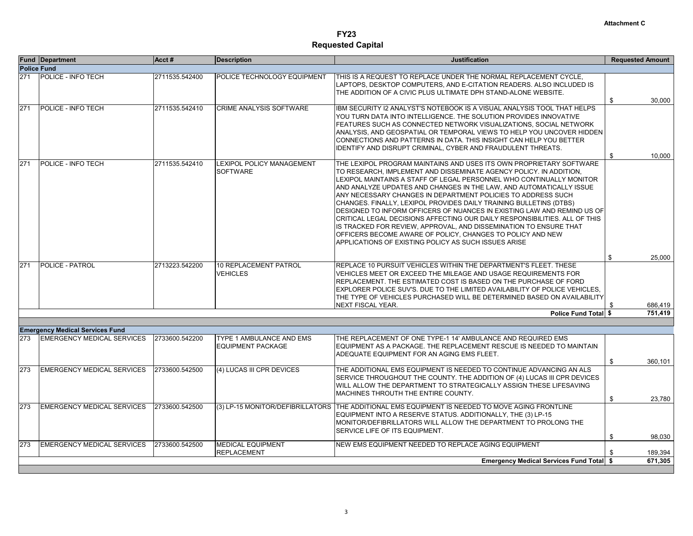|     | <b>Fund Department</b>                                                      | Acct#          | <b>Description</b>                                   | <b>Justification</b>                                                                                                                                                                                                                                                                                                                                                                                                                                                                                                                                                                                                                                                                                                                                                                 | <b>Requested Amount</b> |
|-----|-----------------------------------------------------------------------------|----------------|------------------------------------------------------|--------------------------------------------------------------------------------------------------------------------------------------------------------------------------------------------------------------------------------------------------------------------------------------------------------------------------------------------------------------------------------------------------------------------------------------------------------------------------------------------------------------------------------------------------------------------------------------------------------------------------------------------------------------------------------------------------------------------------------------------------------------------------------------|-------------------------|
|     | <b>Police Fund</b>                                                          |                |                                                      |                                                                                                                                                                                                                                                                                                                                                                                                                                                                                                                                                                                                                                                                                                                                                                                      |                         |
| 271 | POLICE - INFO TECH                                                          | 2711535.542400 | POLICE TECHNOLOGY EQUIPMENT                          | THIS IS A REQUEST TO REPLACE UNDER THE NORMAL REPLACEMENT CYCLE,<br>LAPTOPS, DESKTOP COMPUTERS, AND E-CITATION READERS. ALSO INCLUDED IS<br>THE ADDITION OF A CIVIC PLUS ULTIMATE DPH STAND-ALONE WEBSITE.                                                                                                                                                                                                                                                                                                                                                                                                                                                                                                                                                                           | 30,000<br>\$            |
| 271 | POLICE - INFO TECH                                                          | 2711535.542410 | <b>CRIME ANALYSIS SOFTWARE</b>                       | IBM SECURITY I2 ANALYST'S NOTEBOOK IS A VISUAL ANALYSIS TOOL THAT HELPS<br>YOU TURN DATA INTO INTELLIGENCE. THE SOLUTION PROVIDES INNOVATIVE<br>FEATURES SUCH AS CONNECTED NETWORK VISUALIZATIONS, SOCIAL NETWORK<br>ANALYSIS, AND GEOSPATIAL OR TEMPORAL VIEWS TO HELP YOU UNCOVER HIDDEN<br>CONNECTIONS AND PATTERNS IN DATA. THIS INSIGHT CAN HELP YOU BETTER<br>IDENTIFY AND DISRUPT CRIMINAL, CYBER AND FRAUDULENT THREATS.                                                                                                                                                                                                                                                                                                                                                     | 10.000<br>\$            |
| 271 | POLICE - INFO TECH                                                          | 2711535.542410 | <b>LEXIPOL POLICY MANAGEMENT</b><br><b>SOFTWARE</b>  | THE LEXIPOL PROGRAM MAINTAINS AND USES ITS OWN PROPRIETARY SOFTWARE<br>TO RESEARCH, IMPLEMENT AND DISSEMINATE AGENCY POLICY. IN ADDITION,<br>ILEXIPOL MAINTAINS A STAFF OF LEGAL PERSONNEL WHO CONTINUALLY MONITOR.<br>AND ANALYZE UPDATES AND CHANGES IN THE LAW, AND AUTOMATICALLY ISSUE<br>ANY NECESSARY CHANGES IN DEPARTMENT POLICIES TO ADDRESS SUCH<br>CHANGES. FINALLY, LEXIPOL PROVIDES DAILY TRAINING BULLETINS (DTBS)<br>DESIGNED TO INFORM OFFICERS OF NUANCES IN EXISTING LAW AND REMIND US OF<br>CRITICAL LEGAL DECISIONS AFFECTING OUR DAILY RESPONSIBILITIES. ALL OF THIS<br>IS TRACKED FOR REVIEW, APPROVAL, AND DISSEMINATION TO ENSURE THAT<br>OFFICERS BECOME AWARE OF POLICY, CHANGES TO POLICY AND NEW<br>APPLICATIONS OF EXISTING POLICY AS SUCH ISSUES ARISE |                         |
|     |                                                                             |                |                                                      |                                                                                                                                                                                                                                                                                                                                                                                                                                                                                                                                                                                                                                                                                                                                                                                      | \$<br>25,000            |
| 271 | <b>POLICE - PATROL</b>                                                      | 2713223.542200 | <b>10 REPLACEMENT PATROL</b><br><b>VEHICLES</b>      | REPLACE 10 PURSUIT VEHICLES WITHIN THE DEPARTMENT'S FLEET. THESE<br>VEHICLES MEET OR EXCEED THE MILEAGE AND USAGE REQUIREMENTS FOR<br>IREPLACEMENT. THE ESTIMATED COST IS BASED ON THE PURCHASE OF FORD<br>EXPLORER POLICE SUV'S. DUE TO THE LIMITED AVAILABILITY OF POLICE VEHICLES.<br>THE TYPE OF VEHICLES PURCHASED WILL BE DETERMINED BASED ON AVAILABILITY<br><b>NEXT FISCAL YEAR.</b>                                                                                                                                                                                                                                                                                                                                                                                         | \$<br>686,419           |
|     |                                                                             |                |                                                      | Police Fund Total \$                                                                                                                                                                                                                                                                                                                                                                                                                                                                                                                                                                                                                                                                                                                                                                 | 751,419                 |
|     |                                                                             |                |                                                      |                                                                                                                                                                                                                                                                                                                                                                                                                                                                                                                                                                                                                                                                                                                                                                                      |                         |
| 273 | <b>Emergency Medical Services Fund</b><br><b>EMERGENCY MEDICAL SERVICES</b> | 2733600.542200 | TYPE 1 AMBULANCE AND EMS<br><b>EQUIPMENT PACKAGE</b> | THE REPLACEMENT OF ONE TYPE-1 14' AMBULANCE AND REQUIRED EMS<br>EQUIPMENT AS A PACKAGE. THE REPLACEMENT RESCUE IS NEEDED TO MAINTAIN<br>ADEQUATE EQUIPMENT FOR AN AGING EMS FLEET.                                                                                                                                                                                                                                                                                                                                                                                                                                                                                                                                                                                                   | \$<br>360,101           |
| 273 | <b>EMERGENCY MEDICAL SERVICES</b>                                           | 2733600.542500 | (4) LUCAS III CPR DEVICES                            | THE ADDITIONAL EMS EQUIPMENT IS NEEDED TO CONTINUE ADVANCING AN ALS<br>SERVICE THROUGHOUT THE COUNTY. THE ADDITION OF (4) LUCAS III CPR DEVICES<br>WILL ALLOW THE DEPARTMENT TO STRATEGICALLY ASSIGN THESE LIFESAVING<br>MACHINES THROUTH THE ENTIRE COUNTY.                                                                                                                                                                                                                                                                                                                                                                                                                                                                                                                         | 23,780<br>\$            |
| 273 | <b>EMERGENCY MEDICAL SERVICES</b>                                           | 2733600.542500 |                                                      | (3) LP-15 MONITOR/DEFIBRILLATORS THE ADDITIONAL EMS EQUIPMENT IS NEEDED TO MOVE AGING FRONTLINE<br>EQUIPMENT INTO A RESERVE STATUS. ADDITIONALLY, THE (3) LP-15<br>MONITOR/DEFIBRILLATORS WILL ALLOW THE DEPARTMENT TO PROLONG THE<br>SERVICE LIFE OF ITS EQUIPMENT.                                                                                                                                                                                                                                                                                                                                                                                                                                                                                                                 | \$<br>98,030            |
| 273 | <b>EMERGENCY MEDICAL SERVICES</b>                                           | 2733600.542500 | <b>MEDICAL EQUIPMENT</b><br><b>REPLACEMENT</b>       | <b>INEW EMS EQUIPMENT NEEDED TO REPLACE AGING EQUIPMENT</b>                                                                                                                                                                                                                                                                                                                                                                                                                                                                                                                                                                                                                                                                                                                          | 189,394<br>\$           |
|     |                                                                             |                |                                                      | <b>Emergency Medical Services Fund Total \$</b>                                                                                                                                                                                                                                                                                                                                                                                                                                                                                                                                                                                                                                                                                                                                      | 671,305                 |
|     |                                                                             |                |                                                      |                                                                                                                                                                                                                                                                                                                                                                                                                                                                                                                                                                                                                                                                                                                                                                                      |                         |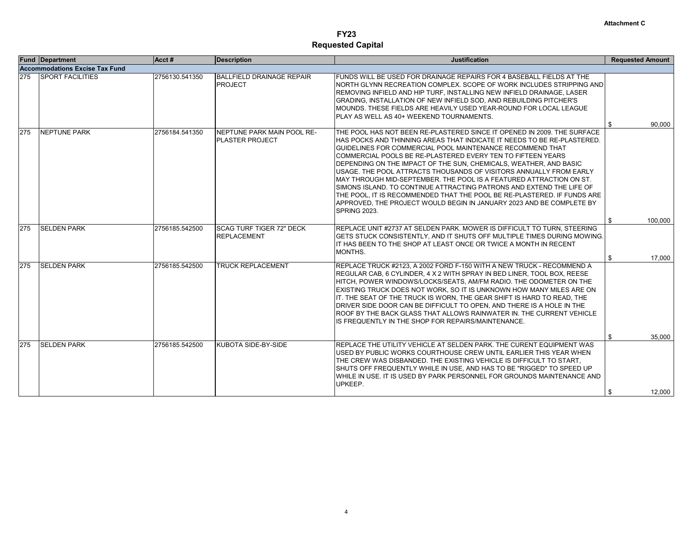|     | <b>Fund Department</b>                | Acct#          | <b>Description</b>                                    | <b>Justification</b>                                                                                                                                                                                                                                                                                                                                                                                                                                                                                                                                                                                                                                                                                                                                | <b>Requested Amount</b>      |
|-----|---------------------------------------|----------------|-------------------------------------------------------|-----------------------------------------------------------------------------------------------------------------------------------------------------------------------------------------------------------------------------------------------------------------------------------------------------------------------------------------------------------------------------------------------------------------------------------------------------------------------------------------------------------------------------------------------------------------------------------------------------------------------------------------------------------------------------------------------------------------------------------------------------|------------------------------|
|     | <b>Accommodations Excise Tax Fund</b> |                |                                                       |                                                                                                                                                                                                                                                                                                                                                                                                                                                                                                                                                                                                                                                                                                                                                     |                              |
| 275 | <b>SPORT FACILITIES</b>               | 2756130.541350 | <b>BALLFIELD DRAINAGE REPAIR</b><br><b>PROJECT</b>    | FUNDS WILL BE USED FOR DRAINAGE REPAIRS FOR 4 BASEBALL FIELDS AT THE<br>NORTH GLYNN RECREATION COMPLEX. SCOPE OF WORK INCLUDES STRIPPING AND<br>IREMOVING INFIELD AND HIP TURF. INSTALLING NEW INFIELD DRAINAGE. LASER<br>GRADING. INSTALLATION OF NEW INFIELD SOD. AND REBUILDING PITCHER'S<br>MOUNDS. THESE FIELDS ARE HEAVILY USED YEAR-ROUND FOR LOCAL LEAGUE<br><b>PLAY AS WELL AS 40+ WEEKEND TOURNAMENTS.</b>                                                                                                                                                                                                                                                                                                                                | 90,000<br>\$                 |
| 275 | <b>NEPTUNE PARK</b>                   | 2756184.541350 | NEPTUNE PARK MAIN POOL RE-<br><b>PLASTER PROJECT</b>  | THE POOL HAS NOT BEEN RE-PLASTERED SINCE IT OPENED IN 2009. THE SURFACE<br>HAS POCKS AND THINNING AREAS THAT INDICATE IT NEEDS TO BE RE-PLASTERED.<br>GUIDELINES FOR COMMERCIAL POOL MAINTENANCE RECOMMEND THAT<br>COMMERCIAL POOLS BE RE-PLASTERED EVERY TEN TO FIFTEEN YEARS<br>DEPENDING ON THE IMPACT OF THE SUN, CHEMICALS, WEATHER, AND BASIC<br>USAGE. THE POOL ATTRACTS THOUSANDS OF VISITORS ANNUALLY FROM EARLY<br>IMAY THROUGH MID-SEPTEMBER. THE POOL IS A FEATURED ATTRACTION ON ST.<br>SIMONS ISLAND. TO CONTINUE ATTRACTING PATRONS AND EXTEND THE LIFE OF<br>THE POOL. IT IS RECOMMENDED THAT THE POOL BE RE-PLASTERED. IF FUNDS ARE<br>APPROVED, THE PROJECT WOULD BEGIN IN JANUARY 2023 AND BE COMPLETE BY<br><b>SPRING 2023.</b> |                              |
|     |                                       |                |                                                       |                                                                                                                                                                                                                                                                                                                                                                                                                                                                                                                                                                                                                                                                                                                                                     | 100.000<br>\$                |
| 275 | <b>SELDEN PARK</b>                    | 2756185.542500 | <b>SCAG TURF TIGER 72" DECK</b><br><b>REPLACEMENT</b> | IREPLACE UNIT #2737 AT SELDEN PARK. MOWER IS DIFFICULT TO TURN. STEERING<br>GETS STUCK CONSISTENTLY, AND IT SHUTS OFF MULTIPLE TIMES DURING MOWING.<br>IIT HAS BEEN TO THE SHOP AT LEAST ONCE OR TWICE A MONTH IN RECENT<br>MONTHS.                                                                                                                                                                                                                                                                                                                                                                                                                                                                                                                 | 17.000<br>\$                 |
| 275 | <b>SELDEN PARK</b>                    | 2756185.542500 | <b>TRUCK REPLACEMENT</b>                              | IREPLACE TRUCK #2123. A 2002 FORD F-150 WITH A NEW TRUCK - RECOMMEND A<br>REGULAR CAB, 6 CYLINDER, 4 X 2 WITH SPRAY IN BED LINER, TOOL BOX, REESE<br>IHITCH. POWER WINDOWS/LOCKS/SEATS. AM/FM RADIO. THE ODOMETER ON THE<br>IEXISTING TRUCK DOES NOT WORK. SO IT IS UNKNOWN HOW MANY MILES ARE ON<br>IT. THE SEAT OF THE TRUCK IS WORN, THE GEAR SHIFT IS HARD TO READ, THE<br>DRIVER SIDE DOOR CAN BE DIFFICULT TO OPEN, AND THERE IS A HOLE IN THE<br>IROOF BY THE BACK GLASS THAT ALLOWS RAINWATER IN. THE CURRENT VEHICLE<br>IS FREQUENTLY IN THE SHOP FOR REPAIRS/MAINTENANCE.                                                                                                                                                                 |                              |
| 275 | <b>SELDEN PARK</b>                    | 2756185.542500 | KUBOTA SIDE-BY-SIDE                                   | REPLACE THE UTILITY VEHICLE AT SELDEN PARK. THE CURENT EQUIPMENT WAS<br>USED BY PUBLIC WORKS COURTHOUSE CREW UNTIL EARLIER THIS YEAR WHEN<br>THE CREW WAS DISBANDED. THE EXISTING VEHICLE IS DIFFICULT TO START.<br>SHUTS OFF FREQUENTLY WHILE IN USE, AND HAS TO BE "RIGGED" TO SPEED UP<br>WHILE IN USE. IT IS USED BY PARK PERSONNEL FOR GROUNDS MAINTENANCE AND<br>UPKEEP.                                                                                                                                                                                                                                                                                                                                                                      | 35.000<br>\$<br>12,000<br>\$ |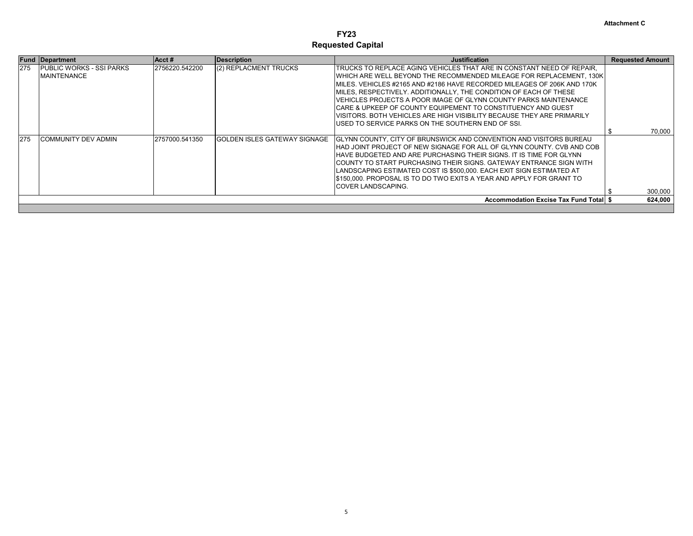|     | <b>Fund Department</b>                          | Acct #         | Description                   | <b>Justification</b>                                                                                                                                                                                                                                                                                                                                                                                                                                                                                                                                                | <b>Requested Amount</b> |
|-----|-------------------------------------------------|----------------|-------------------------------|---------------------------------------------------------------------------------------------------------------------------------------------------------------------------------------------------------------------------------------------------------------------------------------------------------------------------------------------------------------------------------------------------------------------------------------------------------------------------------------------------------------------------------------------------------------------|-------------------------|
| 275 | IPUBLIC WORKS - SSI PARKS<br><b>MAINTENANCE</b> | 2756220.542200 | (2) REPLACMENT TRUCKS         | TRUCKS TO REPLACE AGING VEHICLES THAT ARE IN CONSTANT NEED OF REPAIR.<br>WHICH ARE WELL BEYOND THE RECOMMENDED MILEAGE FOR REPLACEMENT, 130K<br>MILES. VEHICLES #2165 AND #2186 HAVE RECORDED MILEAGES OF 206K AND 170K<br>MILES, RESPECTIVELY. ADDITIONALLY, THE CONDITION OF EACH OF THESE<br>VEHICLES PROJECTS A POOR IMAGE OF GLYNN COUNTY PARKS MAINTENANCE.<br>ICARE & UPKEEP OF COUNTY EQUIPEMENT TO CONSTITUENCY AND GUEST<br>IVISITORS. BOTH VEHICLES ARE HIGH VISIBILITY BECAUSE THEY ARE PRIMARILY<br>IUSED TO SERVICE PARKS ON THE SOUTHERN END OF SSI. |                         |
|     |                                                 |                |                               |                                                                                                                                                                                                                                                                                                                                                                                                                                                                                                                                                                     | 70,000                  |
| 275 | ICOMMUNITY DEV ADMIN                            | 2757000.541350 | IGOLDEN ISLES GATEWAY SIGNAGE | GLYNN COUNTY, CITY OF BRUNSWICK AND CONVENTION AND VISITORS BUREAU<br>HAD JOINT PROJECT OF NEW SIGNAGE FOR ALL OF GLYNN COUNTY. CVB AND COB<br>HAVE BUDGETED AND ARE PURCHASING THEIR SIGNS. IT IS TIME FOR GLYNN<br>ICOUNTY TO START PURCHASING THEIR SIGNS. GATEWAY ENTRANCE SIGN WITH<br>LANDSCAPING ESTIMATED COST IS \$500,000. EACH EXIT SIGN ESTIMATED AT<br>\$150,000. PROPOSAL IS TO DO TWO EXITS A YEAR AND APPLY FOR GRANT TO<br><b>ICOVER LANDSCAPING.</b>                                                                                              | 300,000                 |
|     |                                                 |                |                               | <b>Accommodation Excise Tax Fund Total \$</b>                                                                                                                                                                                                                                                                                                                                                                                                                                                                                                                       | 624,000                 |
|     |                                                 |                |                               |                                                                                                                                                                                                                                                                                                                                                                                                                                                                                                                                                                     |                         |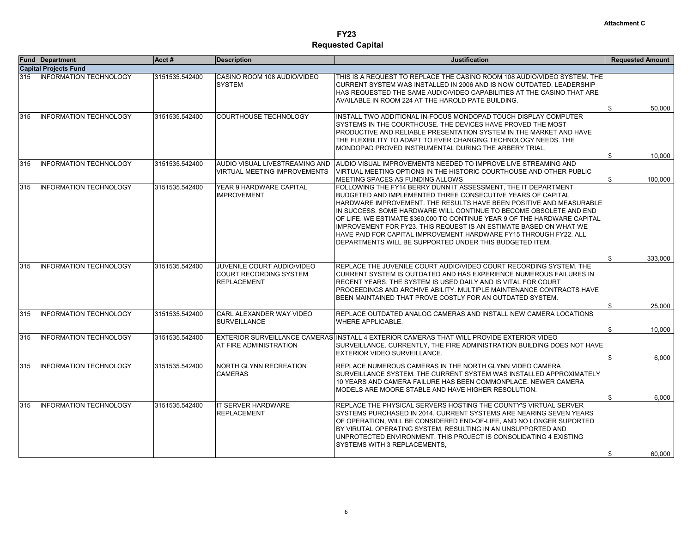|     | <b>Fund Department</b>        | Acct#          | <b>Description</b>                                                                | <b>Justification</b>                                                                                                                                                                                                                                                                                                                                                                                                                                                                                                                                          | <b>Requested Amount</b> |                 |
|-----|-------------------------------|----------------|-----------------------------------------------------------------------------------|---------------------------------------------------------------------------------------------------------------------------------------------------------------------------------------------------------------------------------------------------------------------------------------------------------------------------------------------------------------------------------------------------------------------------------------------------------------------------------------------------------------------------------------------------------------|-------------------------|-----------------|
|     | <b>Capital Projects Fund</b>  |                |                                                                                   |                                                                                                                                                                                                                                                                                                                                                                                                                                                                                                                                                               |                         |                 |
| 315 | <b>INFORMATION TECHNOLOGY</b> | 3151535.542400 | CASINO ROOM 108 AUDIO/VIDEO<br><b>SYSTEM</b>                                      | THIS IS A REQUEST TO REPLACE THE CASINO ROOM 108 AUDIO/VIDEO SYSTEM. THE<br>ICURRENT SYSTEM WAS INSTALLED IN 2006 AND IS NOW OUTDATED. LEADERSHIP<br>HAS REQUESTED THE SAME AUDIO/VIDEO CAPABILITIES AT THE CASINO THAT ARE<br>AVAILABLE IN ROOM 224 AT THE HAROLD PATE BUILDING.                                                                                                                                                                                                                                                                             | \$                      | 50.000          |
| 315 | <b>INFORMATION TECHNOLOGY</b> | 3151535.542400 | <b>COURTHOUSE TECHNOLOGY</b>                                                      | INSTALL TWO ADDITIONAL IN-FOCUS MONDOPAD TOUCH DISPLAY COMPUTER<br>SYSTEMS IN THE COURTHOUSE. THE DEVICES HAVE PROVED THE MOST<br>PRODUCTIVE AND RELIABLE PRESENTATION SYSTEM IN THE MARKET AND HAVE<br>THE FLEXIBILITY TO ADAPT TO EVER CHANGING TECHNOLOGY NEEDS. THE<br>MONDOPAD PROVED INSTRUMENTAL DURING THE ARBERY TRIAL.                                                                                                                                                                                                                              | \$                      | 10,000          |
| 315 | <b>INFORMATION TECHNOLOGY</b> | 3151535.542400 | <b>VIRTUAL MEETING IMPROVEMENTS</b>                                               | AUDIO VISUAL LIVESTREAMING AND HAUDIO VISUAL IMPROVEMENTS NEEDED TO IMPROVE LIVE STREAMING AND<br>VIRTUAL MEETING OPTIONS IN THE HISTORIC COURTHOUSE AND OTHER PUBLIC<br>MEETING SPACES AS FUNDING ALLOWS                                                                                                                                                                                                                                                                                                                                                     | \$                      | 100,000         |
| 315 | <b>INFORMATION TECHNOLOGY</b> | 3151535.542400 | YEAR 9 HARDWARE CAPITAL<br><b>IMPROVEMENT</b>                                     | FOLLOWING THE FY14 BERRY DUNN IT ASSESSMENT, THE IT DEPARTMENT<br>BUDGETED AND IMPLEMENTED THREE CONSECUTIVE YEARS OF CAPITAL<br>HARDWARE IMPROVEMENT. THE RESULTS HAVE BEEN POSITIVE AND MEASURABLE<br>IN SUCCESS. SOME HARDWARE WILL CONTINUE TO BECOME OBSOLETE AND END<br>OF LIFE. WE ESTIMATE \$360,000 TO CONTINUE YEAR 9 OF THE HARDWARE CAPITAL<br>IMPROVEMENT FOR FY23. THIS REQUEST IS AN ESTIMATE BASED ON WHAT WE<br>HAVE PAID FOR CAPITAL IMPROVEMENT HARDWARE FY15 THROUGH FY22. ALL<br>DEPARTMENTS WILL BE SUPPORTED UNDER THIS BUDGETED ITEM. |                         |                 |
|     |                               |                |                                                                                   |                                                                                                                                                                                                                                                                                                                                                                                                                                                                                                                                                               | \$                      | 333,000         |
| 315 | <b>INFORMATION TECHNOLOGY</b> | 3151535.542400 | JUVENILE COURT AUDIO/VIDEO<br><b>COURT RECORDING SYSTEM</b><br><b>REPLACEMENT</b> | REPLACE THE JUVENILE COURT AUDIO/VIDEO COURT RECORDING SYSTEM. THE<br>CURRENT SYSTEM IS OUTDATED AND HAS EXPERIENCE NUMEROUS FAILURES IN<br>RECENT YEARS. THE SYSTEM IS USED DAILY AND IS VITAL FOR COURT<br>IPROCEEDINGS AND ARCHIVE ABILITY. MULTIPLE MAINTENANCE CONTRACTS HAVE<br>BEEN MAINTAINED THAT PROVE COSTLY FOR AN OUTDATED SYSTEM.                                                                                                                                                                                                               | \$                      | 25,000          |
| 315 | <b>INFORMATION TECHNOLOGY</b> | 3151535.542400 | CARL ALEXANDER WAY VIDEO<br><b>SURVEILLANCE</b>                                   | REPLACE OUTDATED ANALOG CAMERAS AND INSTALL NEW CAMERA LOCATIONS<br><b>WHERE APPLICABLE.</b>                                                                                                                                                                                                                                                                                                                                                                                                                                                                  |                         |                 |
| 315 | <b>INFORMATION TECHNOLOGY</b> | 3151535.542400 | AT FIRE ADMINISTRATION                                                            | EXTERIOR SURVEILLANCE CAMERAS INSTALL 4 EXTERIOR CAMERAS THAT WILL PROVIDE EXTERIOR VIDEO<br>SURVEILLANCE, CURRENTLY, THE FIRE ADMINISTRATION BUILDING DOES NOT HAVE<br><b>EXTERIOR VIDEO SURVEILLANCE.</b>                                                                                                                                                                                                                                                                                                                                                   | \$<br>\$                | 10,000<br>6,000 |
| 315 | <b>INFORMATION TECHNOLOGY</b> | 3151535.542400 | NORTH GLYNN RECREATION<br><b>CAMERAS</b>                                          | IREPLACE NUMEROUS CAMERAS IN THE NORTH GLYNN VIDEO CAMERA<br>SURVEILLANCE SYSTEM. THE CURRENT SYSTEM WAS INSTALLED APPROXIMATELY<br>10 YEARS AND CAMERA FAILURE HAS BEEN COMMONPLACE. NEWER CAMERA<br>MODELS ARE MOORE STABLE AND HAVE HIGHER RESOLUTION.                                                                                                                                                                                                                                                                                                     | \$                      | 6,000           |
| 315 | <b>INFORMATION TECHNOLOGY</b> | 3151535.542400 | IT SERVER HARDWARE<br><b>REPLACEMENT</b>                                          | IREPLACE THE PHYSICAL SERVERS HOSTING THE COUNTY'S VIRTUAL SERVER<br>SYSTEMS PURCHASED IN 2014. CURRENT SYSTEMS ARE NEARING SEVEN YEARS<br>OF OPERATION, WILL BE CONSIDERED END-OF-LIFE, AND NO LONGER SUPORTED<br>IBY VIRUTAL OPERATING SYSTEM. RESULTING IN AN UNSUPPORTED AND<br>UNPROTECTED ENVIRONMENT. THIS PROJECT IS CONSOLIDATING 4 EXISTING<br>SYSTEMS WITH 3 REPLACEMENTS,                                                                                                                                                                         | \$                      | 60.000          |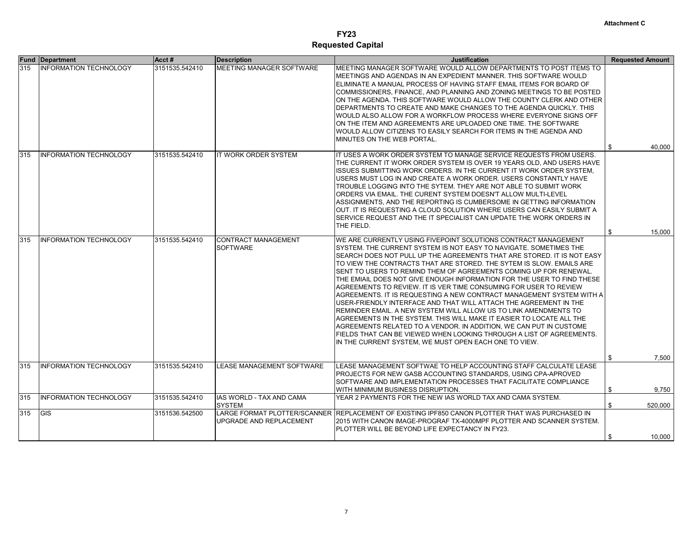| <b>Fund</b> | <b>Department</b>             | Acct#          | <b>Description</b>                         | <b>Justification</b>                                                                                                                                                                                                                                                                                                                                                                                                                                                                                                                                                                                                                                                                                                                                                                                                                                                                                                                    | <b>Requested Amount</b> |
|-------------|-------------------------------|----------------|--------------------------------------------|-----------------------------------------------------------------------------------------------------------------------------------------------------------------------------------------------------------------------------------------------------------------------------------------------------------------------------------------------------------------------------------------------------------------------------------------------------------------------------------------------------------------------------------------------------------------------------------------------------------------------------------------------------------------------------------------------------------------------------------------------------------------------------------------------------------------------------------------------------------------------------------------------------------------------------------------|-------------------------|
| 315         | <b>INFORMATION TECHNOLOGY</b> | 3151535.542410 | MEETING MANAGER SOFTWARE                   | MEETING MANAGER SOFTWARE WOULD ALLOW DEPARTMENTS TO POST ITEMS TO<br>MEETINGS AND AGENDAS IN AN EXPEDIENT MANNER. THIS SOFTWARE WOULD<br>ELIMINATE A MANUAL PROCESS OF HAVING STAFF EMAIL ITEMS FOR BOARD OF<br>COMMISSIONERS, FINANCE, AND PLANNING AND ZONING MEETINGS TO BE POSTED<br>ON THE AGENDA. THIS SOFTWARE WOULD ALLOW THE COUNTY CLERK AND OTHER<br>DEPARTMENTS TO CREATE AND MAKE CHANGES TO THE AGENDA QUICKLY. THIS<br>WOULD ALSO ALLOW FOR A WORKFLOW PROCESS WHERE EVERYONE SIGNS OFF<br>ON THE ITEM AND AGREEMENTS ARE UPLOADED ONE TIME. THE SOFTWARE<br>WOULD ALLOW CITIZENS TO EASILY SEARCH FOR ITEMS IN THE AGENDA AND<br>MINUTES ON THE WEB PORTAL.                                                                                                                                                                                                                                                             |                         |
| 315         | <b>INFORMATION TECHNOLOGY</b> | 3151535.542410 | <b>IT WORK ORDER SYSTEM</b>                | IT USES A WORK ORDER SYSTEM TO MANAGE SERVICE REQUESTS FROM USERS.                                                                                                                                                                                                                                                                                                                                                                                                                                                                                                                                                                                                                                                                                                                                                                                                                                                                      | 40,000<br>\$            |
|             |                               |                |                                            | THE CURRENT IT WORK ORDER SYSTEM IS OVER 19 YEARS OLD. AND USERS HAVE<br>ISSUES SUBMITTING WORK ORDERS. IN THE CURRENT IT WORK ORDER SYSTEM,<br>USERS MUST LOG IN AND CREATE A WORK ORDER. USERS CONSTANTLY HAVE<br>TROUBLE LOGGING INTO THE SYTEM. THEY ARE NOT ABLE TO SUBMIT WORK<br>ORDERS VIA EMAIL. THE CURENT SYSTEM DOESN'T ALLOW MULTI-LEVEL<br>ASSIGNMENTS, AND THE REPORTING IS CUMBERSOME IN GETTING INFORMATION<br>OUT. IT IS REQUESTING A CLOUD SOLUTION WHERE USERS CAN EASILY SUBMIT A<br>SERVICE REQUEST AND THE IT SPECIALIST CAN UPDATE THE WORK ORDERS IN<br>THE FIELD.                                                                                                                                                                                                                                                                                                                                             | \$<br>15,000            |
| 315         | <b>INFORMATION TECHNOLOGY</b> | 3151535.542410 | <b>CONTRACT MANAGEMENT</b>                 | WE ARE CURRENTLY USING FIVEPOINT SOLUTIONS CONTRACT MANAGEMENT                                                                                                                                                                                                                                                                                                                                                                                                                                                                                                                                                                                                                                                                                                                                                                                                                                                                          |                         |
|             |                               |                | <b>ISOFTWARE</b>                           | SYSTEM. THE CURRENT SYSTEM IS NOT EASY TO NAVIGATE. SOMETIMES THE<br>SEARCH DOES NOT PULL UP THE AGREEMENTS THAT ARE STORED. IT IS NOT EASY<br>TO VIEW THE CONTRACTS THAT ARE STORED. THE SYTEM IS SLOW. EMAILS ARE<br>SENT TO USERS TO REMIND THEM OF AGREEMENTS COMING UP FOR RENEWAL.<br>THE EMIAIL DOES NOT GIVE ENOUGH INFORMATION FOR THE USER TO FIND THESE<br>AGREEMENTS TO REVIEW. IT IS VER TIME CONSUMING FOR USER TO REVIEW<br>AGREEMENTS. IT IS REQUESTING A NEW CONTRACT MANAGEMENT SYSTEM WITH A<br>USER-FRIENDLY INTERFACE AND THAT WILL ATTACH THE AGREEMENT IN THE<br>REMINDER EMAIL. A NEW SYSTEM WILL ALLOW US TO LINK AMENDMENTS TO<br>AGREEMENTS IN THE SYSTEM. THIS WILL MAKE IT EASIER TO LOCATE ALL THE<br>AGREEMENTS RELATED TO A VENDOR. IN ADDITION, WE CAN PUT IN CUSTOME<br>FIELDS THAT CAN BE VIEWED WHEN LOOKING THROUGH A LIST OF AGREEMENTS.<br>IN THE CURRENT SYSTEM, WE MUST OPEN EACH ONE TO VIEW. |                         |
|             |                               |                |                                            |                                                                                                                                                                                                                                                                                                                                                                                                                                                                                                                                                                                                                                                                                                                                                                                                                                                                                                                                         | \$<br>7,500             |
| 315         | <b>INFORMATION TECHNOLOGY</b> | 3151535.542410 | <b>LEASE MANAGEMENT SOFTWARE</b>           | LEASE MANAGEMENT SOFTWAE TO HELP ACCOUNTING STAFF CALCULATE LEASE<br>PROJECTS FOR NEW GASB ACCOUNTING STANDARDS, USING CPA-APROVED<br>ISOFTWARE AND IMPLEMENTATION PROCESSES THAT FACILITATE COMPLIANCE<br>WITH MINIMUM BUSINESS DISRUPTION.                                                                                                                                                                                                                                                                                                                                                                                                                                                                                                                                                                                                                                                                                            | \$<br>9,750             |
| 315         | <b>INFORMATION TECHNOLOGY</b> | 3151535.542410 | IIAS WORLD - TAX AND CAMA<br><b>SYSTEM</b> | YEAR 2 PAYMENTS FOR THE NEW IAS WORLD TAX AND CAMA SYSTEM.                                                                                                                                                                                                                                                                                                                                                                                                                                                                                                                                                                                                                                                                                                                                                                                                                                                                              | \$<br>520,000           |
| 315         | <b>GIS</b>                    | 3151536.542500 | UPGRADE AND REPLACEMENT                    | LARGE FORMAT PLOTTER/SCANNER RREPLACEMENT OF EXISTING IPF850 CANON PLOTTER THAT WAS PURCHASED IN<br>2015 WITH CANON IMAGE-PROGRAF TX-4000MPF PLOTTER AND SCANNER SYSTEM.<br>PLOTTER WILL BE BEYOND LIFE EXPECTANCY IN FY23.                                                                                                                                                                                                                                                                                                                                                                                                                                                                                                                                                                                                                                                                                                             |                         |
|             |                               |                |                                            |                                                                                                                                                                                                                                                                                                                                                                                                                                                                                                                                                                                                                                                                                                                                                                                                                                                                                                                                         | 10,000<br>\$            |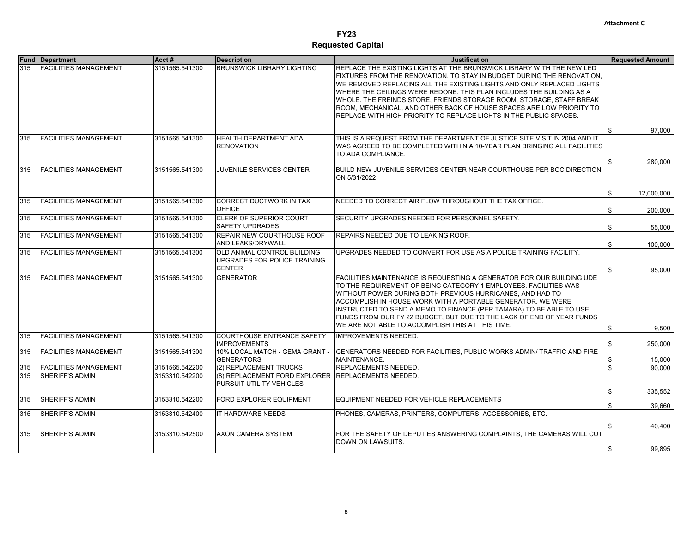|     | <b>Fund Department</b>       | Acct#          | <b>Description</b>                                                             | <b>Justification</b>                                                                                                                                                                                                                                                                                                                                                                                                                                                                                                   | <b>Requested Amount</b> |            |
|-----|------------------------------|----------------|--------------------------------------------------------------------------------|------------------------------------------------------------------------------------------------------------------------------------------------------------------------------------------------------------------------------------------------------------------------------------------------------------------------------------------------------------------------------------------------------------------------------------------------------------------------------------------------------------------------|-------------------------|------------|
| 315 | <b>FACILITIES MANAGEMENT</b> | 3151565.541300 | <b>BRUNSWICK LIBRARY LIGHTING</b>                                              | REPLACE THE EXISTING LIGHTS AT THE BRUNSWICK LIBRARY WITH THE NEW LED<br>FIXTURES FROM THE RENOVATION. TO STAY IN BUDGET DURING THE RENOVATION.<br>WE REMOVED REPLACING ALL THE EXISTING LIGHTS AND ONLY REPLACED LIGHTS<br>WHERE THE CEILINGS WERE REDONE. THIS PLAN INCLUDES THE BUILDING AS A<br>WHOLE. THE FREINDS STORE, FRIENDS STORAGE ROOM, STORAGE, STAFF BREAK<br>ROOM, MECHANICAL, AND OTHER BACK OF HOUSE SPACES ARE LOW PRIORITY TO<br>REPLACE WITH HIGH PRIORITY TO REPLACE LIGHTS IN THE PUBLIC SPACES. |                         |            |
|     |                              |                |                                                                                |                                                                                                                                                                                                                                                                                                                                                                                                                                                                                                                        | \$                      | 97,000     |
| 315 | <b>FACILITIES MANAGEMENT</b> | 3151565.541300 | <b>HEALTH DEPARTMENT ADA</b><br><b>RENOVATION</b>                              | THIS IS A REQUEST FROM THE DEPARTMENT OF JUSTICE SITE VISIT IN 2004 AND IT<br>WAS AGREED TO BE COMPLETED WITHIN A 10-YEAR PLAN BRINGING ALL FACILITIES<br>TO ADA COMPLIANCE.                                                                                                                                                                                                                                                                                                                                           | \$                      | 280,000    |
| 315 | <b>FACILITIES MANAGEMENT</b> | 3151565.541300 | <b>JUVENILE SERVICES CENTER</b>                                                | BUILD NEW JUVENILE SERVICES CENTER NEAR COURTHOUSE PER BOC DIRECTION<br>ON 5/31/2022                                                                                                                                                                                                                                                                                                                                                                                                                                   |                         |            |
|     |                              |                |                                                                                |                                                                                                                                                                                                                                                                                                                                                                                                                                                                                                                        | \$                      | 12,000,000 |
| 315 | <b>FACILITIES MANAGEMENT</b> | 3151565.541300 | <b>CORRECT DUCTWORK IN TAX</b><br><b>OFFICE</b>                                | NEEDED TO CORRECT AIR FLOW THROUGHOUT THE TAX OFFICE.                                                                                                                                                                                                                                                                                                                                                                                                                                                                  | \$                      | 200,000    |
| 315 | <b>FACILITIES MANAGEMENT</b> | 3151565.541300 | CLERK OF SUPERIOR COURT<br><b>SAFETY UPDRADES</b>                              | SECURITY UPGRADES NEEDED FOR PERSONNEL SAFETY.                                                                                                                                                                                                                                                                                                                                                                                                                                                                         | \$                      | 55,000     |
| 315 | <b>FACILITIES MANAGEMENT</b> | 3151565.541300 | REPAIR NEW COURTHOUSE ROOF<br><b>AND LEAKS/DRYWALL</b>                         | REPAIRS NEEDED DUE TO LEAKING ROOF.                                                                                                                                                                                                                                                                                                                                                                                                                                                                                    | \$                      | 100,000    |
| 315 | <b>FACILITIES MANAGEMENT</b> | 3151565.541300 | OLD ANIMAL CONTROL BUILDING<br>UPGRADES FOR POLICE TRAINING<br><b>CENTER</b>   | UPGRADES NEEDED TO CONVERT FOR USE AS A POLICE TRAINING FACILITY.                                                                                                                                                                                                                                                                                                                                                                                                                                                      | \$                      | 95,000     |
| 315 | <b>FACILITIES MANAGEMENT</b> | 3151565.541300 | <b>GENERATOR</b>                                                               | FACILITIES MAINTENANCE IS REQUESTING A GENERATOR FOR OUR BUILDING UDE<br>TO THE REQUIREMENT OF BEING CATEGORY 1 EMPLOYEES, FACILITIES WAS<br>WITHOUT POWER DURING BOTH PREVIOUS HURRICANES, AND HAD TO<br>ACCOMPLISH IN HOUSE WORK WITH A PORTABLE GENERATOR. WE WERE<br>INSTRUCTED TO SEND A MEMO TO FINANCE (PER TAMARA) TO BE ABLE TO USE<br>FUNDS FROM OUR FY 22 BUDGET, BUT DUE TO THE LACK OF END OF YEAR FUNDS<br>WE ARE NOT ABLE TO ACCOMPLISH THIS AT THIS TIME.                                              | \$                      | 9,500      |
| 315 | <b>FACILITIES MANAGEMENT</b> | 3151565.541300 | <b>COURTHOUSE ENTRANCE SAFETY</b><br><b>IMPROVEMENTS</b>                       | <b>IMPROVEMENTS NEEDED.</b>                                                                                                                                                                                                                                                                                                                                                                                                                                                                                            | \$                      | 250,000    |
| 315 | <b>FACILITIES MANAGEMENT</b> | 3151565.541300 | 10% LOCAL MATCH - GEMA GRANT -<br><b>GENERATORS</b>                            | GENERATORS NEEDED FOR FACILITIES, PUBLIC WORKS ADMIN/ TRAFFIC AND FIRE<br>MAINTENANCE.                                                                                                                                                                                                                                                                                                                                                                                                                                 | \$                      | 15,000     |
| 315 | <b>FACILITIES MANAGEMENT</b> | 3151565.542200 | (2) REPLACEMENT TRUCKS                                                         | REPLACEMENTS NEEDED.                                                                                                                                                                                                                                                                                                                                                                                                                                                                                                   | \$                      | 90,000     |
| 315 | <b>SHERIFF'S ADMIN</b>       | 3153310.542200 | (8) REPLACEMENT FORD EXPLORER REPLACEMENTS NEEDED.<br>PURSUIT UTILITY VEHICLES |                                                                                                                                                                                                                                                                                                                                                                                                                                                                                                                        | \$                      | 335,552    |
| 315 | <b>SHERIFF'S ADMIN</b>       | 3153310.542200 | FORD EXPLORER EQUIPMENT                                                        | EQUIPMENT NEEDED FOR VEHICLE REPLACEMENTS                                                                                                                                                                                                                                                                                                                                                                                                                                                                              | \$                      | 39,660     |
| 315 | <b>SHERIFF'S ADMIN</b>       | 3153310.542400 | <b>IT HARDWARE NEEDS</b>                                                       | PHONES, CAMERAS, PRINTERS, COMPUTERS, ACCESSORIES, ETC.                                                                                                                                                                                                                                                                                                                                                                                                                                                                |                         |            |
|     |                              |                |                                                                                |                                                                                                                                                                                                                                                                                                                                                                                                                                                                                                                        | \$                      | 40,400     |
| 315 | <b>SHERIFF'S ADMIN</b>       | 3153310.542500 | AXON CAMERA SYSTEM                                                             | FOR THE SAFETY OF DEPUTIES ANSWERING COMPLAINTS, THE CAMERAS WILL CUT<br>DOWN ON LAWSUITS.                                                                                                                                                                                                                                                                                                                                                                                                                             | \$                      | 99,895     |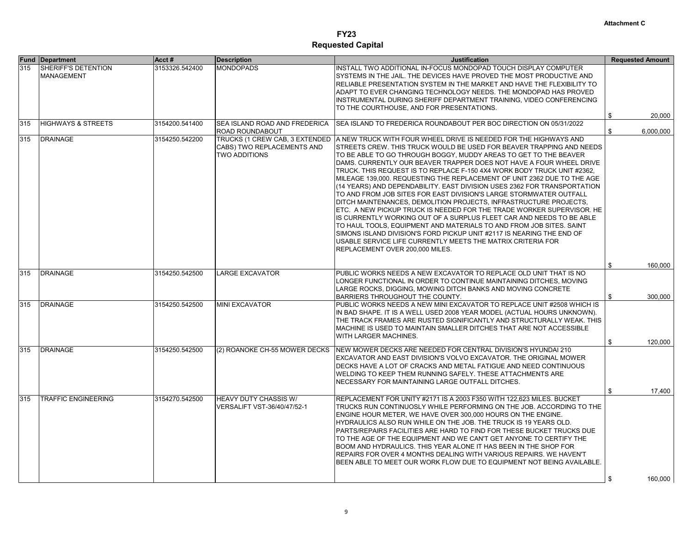|     | <b>Fund Department</b>                   | Acct#          | <b>Description</b>                                                                   | <b>Justification</b>                                                                                                                                                                                                                                                                                                                                                                                                                                                                                                                                                                                                                                                                                                                                                                                                                                                                                                                                                                                                                                                | <b>Requested Amount</b>         |
|-----|------------------------------------------|----------------|--------------------------------------------------------------------------------------|---------------------------------------------------------------------------------------------------------------------------------------------------------------------------------------------------------------------------------------------------------------------------------------------------------------------------------------------------------------------------------------------------------------------------------------------------------------------------------------------------------------------------------------------------------------------------------------------------------------------------------------------------------------------------------------------------------------------------------------------------------------------------------------------------------------------------------------------------------------------------------------------------------------------------------------------------------------------------------------------------------------------------------------------------------------------|---------------------------------|
| 315 | SHERIFF'S DETENTION<br><b>MANAGEMENT</b> | 3153326.542400 | <b>MONDOPADS</b>                                                                     | INSTALL TWO ADDITIONAL IN-FOCUS MONDOPAD TOUCH DISPLAY COMPUTER<br>SYSTEMS IN THE JAIL. THE DEVICES HAVE PROVED THE MOST PRODUCTIVE AND<br>RELIABLE PRESENTATION SYSTEM IN THE MARKET AND HAVE THE FLEXIBILITY TO<br>ADAPT TO EVER CHANGING TECHNOLOGY NEEDS. THE MONDOPAD HAS PROVED<br>INSTRUMENTAL DURING SHERIFF DEPARTMENT TRAINING, VIDEO CONFERENCING<br>TO THE COURTHOUSE, AND FOR PRESENTATIONS.                                                                                                                                                                                                                                                                                                                                                                                                                                                                                                                                                                                                                                                           |                                 |
| 315 | <b>HIGHWAYS &amp; STREETS</b>            | 3154200.541400 | <b>ISEA ISLAND ROAD AND FREDERICA</b><br><b>ROAD ROUNDABOUT</b>                      | SEA ISLAND TO FREDERICA ROUNDABOUT PER BOC DIRECTION ON 05/31/2022                                                                                                                                                                                                                                                                                                                                                                                                                                                                                                                                                                                                                                                                                                                                                                                                                                                                                                                                                                                                  | 20,000<br>\$<br>\$<br>6,000,000 |
| 315 | <b>DRAINAGE</b>                          | 3154250.542200 | TRUCKS (1 CREW CAB, 3 EXTENDED<br>CABS) TWO REPLACEMENTS AND<br><b>TWO ADDITIONS</b> | A NEW TRUCK WITH FOUR WHEEL DRIVE IS NEEDED FOR THE HIGHWAYS AND<br>STREETS CREW. THIS TRUCK WOULD BE USED FOR BEAVER TRAPPING AND NEEDS<br>TO BE ABLE TO GO THROUGH BOGGY, MUDDY AREAS TO GET TO THE BEAVER<br>DAMS. CURRENTLY OUR BEAVER TRAPPER DOES NOT HAVE A FOUR WHEEL DRIVE<br>TRUCK. THIS REQUEST IS TO REPLACE F-150 4X4 WORK BODY TRUCK UNIT #2362.<br>MILEAGE 139,000. REQUESTING THE REPLACEMENT OF UNIT 2362 DUE TO THE AGE<br>(14 YEARS) AND DEPENDABILITY. EAST DIVISION USES 2362 FOR TRANSPORTATION<br>TO AND FROM JOB SITES FOR EAST DIVISION'S LARGE STORMWATER OUTFALL<br>DITCH MAINTENANCES, DEMOLITION PROJECTS, INFRASTRUCTURE PROJECTS,<br>ETC. A NEW PICKUP TRUCK IS NEEDED FOR THE TRADE WORKER SUPERVISOR. HE<br>IS CURRENTLY WORKING OUT OF A SURPLUS FLEET CAR AND NEEDS TO BE ABLE<br>TO HAUL TOOLS, EQUIPMENT AND MATERIALS TO AND FROM JOB SITES. SAINT<br>SIMONS ISLAND DIVISION'S FORD PICKUP UNIT #2117 IS NEARING THE END OF<br>USABLE SERVICE LIFE CURRENTLY MEETS THE MATRIX CRITERIA FOR<br>REPLACEMENT OVER 200,000 MILES. |                                 |
|     |                                          |                |                                                                                      |                                                                                                                                                                                                                                                                                                                                                                                                                                                                                                                                                                                                                                                                                                                                                                                                                                                                                                                                                                                                                                                                     | 160,000<br>\$                   |
| 315 | <b>DRAINAGE</b>                          | 3154250.542500 | <b>LARGE EXCAVATOR</b>                                                               | PUBLIC WORKS NEEDS A NEW EXCAVATOR TO REPLACE OLD UNIT THAT IS NO<br>LONGER FUNCTIONAL IN ORDER TO CONTINUE MAINTAINING DITCHES, MOVING<br>LARGE ROCKS, DIGGING, MOWING DITCH BANKS AND MOVING CONCRETE<br>BARRIERS THROUGHOUT THE COUNTY.                                                                                                                                                                                                                                                                                                                                                                                                                                                                                                                                                                                                                                                                                                                                                                                                                          | 300,000<br>\$                   |
| 315 | <b>DRAINAGE</b>                          | 3154250.542500 | <b>MINI EXCAVATOR</b>                                                                | PUBLIC WORKS NEEDS A NEW MINI EXCAVATOR TO REPLACE UNIT #2508 WHICH IS<br>IN BAD SHAPE. IT IS A WELL USED 2008 YEAR MODEL (ACTUAL HOURS UNKNOWN).<br>THE TRACK FRAMES ARE RUSTED SIGNIFICANTLY AND STRUCTURALLY WEAK. THIS<br>MACHINE IS USED TO MAINTAIN SMALLER DITCHES THAT ARE NOT ACCESSIBLE<br>WITH LARGER MACHINES.                                                                                                                                                                                                                                                                                                                                                                                                                                                                                                                                                                                                                                                                                                                                          | 120,000<br>\$                   |
| 315 | <b>DRAINAGE</b>                          | 3154250.542500 | (2) ROANOKE CH-55 MOWER DECKS                                                        | NEW MOWER DECKS ARE NEEDED FOR CENTRAL DIVISION'S HYUNDAI 210<br>EXCAVATOR AND EAST DIVISION'S VOLVO EXCAVATOR. THE ORIGINAL MOWER<br>DECKS HAVE A LOT OF CRACKS AND METAL FATIGUE AND NEED CONTINUOUS<br>WELDING TO KEEP THEM RUNNING SAFELY. THESE ATTACHMENTS ARE<br>NECESSARY FOR MAINTAINING LARGE OUTFALL DITCHES.                                                                                                                                                                                                                                                                                                                                                                                                                                                                                                                                                                                                                                                                                                                                            |                                 |
| 315 | <b>TRAFFIC ENGINEERING</b>               | 3154270.542500 | <b>HEAVY DUTY CHASSIS W/</b><br>VERSALIFT VST-36/40/47/52-1                          | REPLACEMENT FOR UNITY #2171 IS A 2003 F350 WITH 122,623 MILES. BUCKET<br>TRUCKS RUN CONTINUOSLY WHILE PERFORMING ON THE JOB. ACCORDING TO THE<br>ENGINE HOUR METER, WE HAVE OVER 300,000 HOURS ON THE ENGINE.<br>HYDRAULICS ALSO RUN WHILE ON THE JOB. THE TRUCK IS 19 YEARS OLD.<br>PARTS/REPAIRS FACILITIES ARE HARD TO FIND FOR THESE BUCKET TRUCKS DUE<br>TO THE AGE OF THE EQUIPMENT AND WE CAN'T GET ANYONE TO CERTIFY THE<br>BOOM AND HYDRAULICS. THIS YEAR ALONE IT HAS BEEN IN THE SHOP FOR<br>REPAIRS FOR OVER 4 MONTHS DEALING WITH VARIOUS REPAIRS. WE HAVEN'T<br>BEEN ABLE TO MEET OUR WORK FLOW DUE TO EQUIPMENT NOT BEING AVAILABLE.                                                                                                                                                                                                                                                                                                                                                                                                                 | 17,400<br>\$<br>\$<br>160,000   |